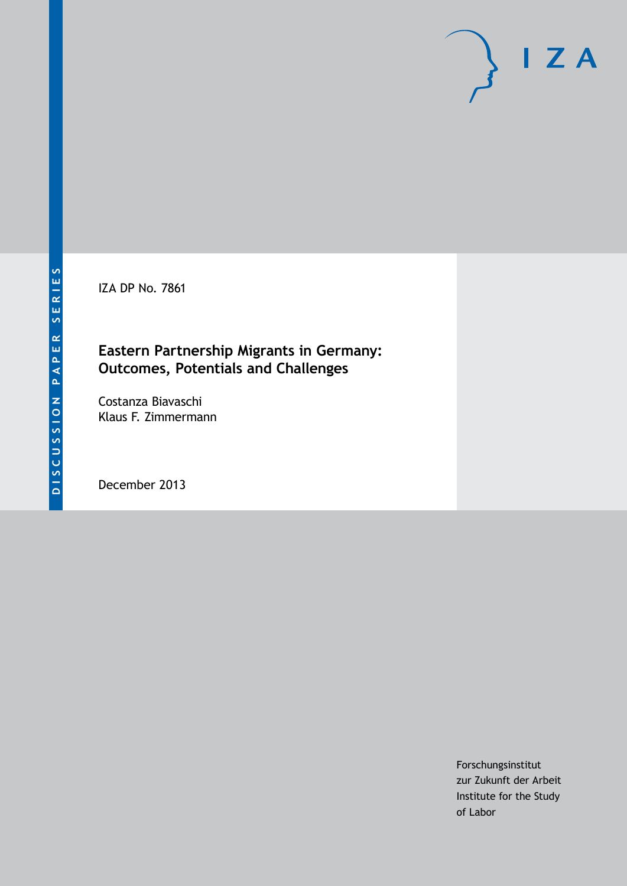IZA DP No. 7861

## **Eastern Partnership Migrants in Germany: Outcomes, Potentials and Challenges**

Costanza Biavaschi Klaus F. Zimmermann

December 2013

Forschungsinstitut zur Zukunft der Arbeit Institute for the Study of Labor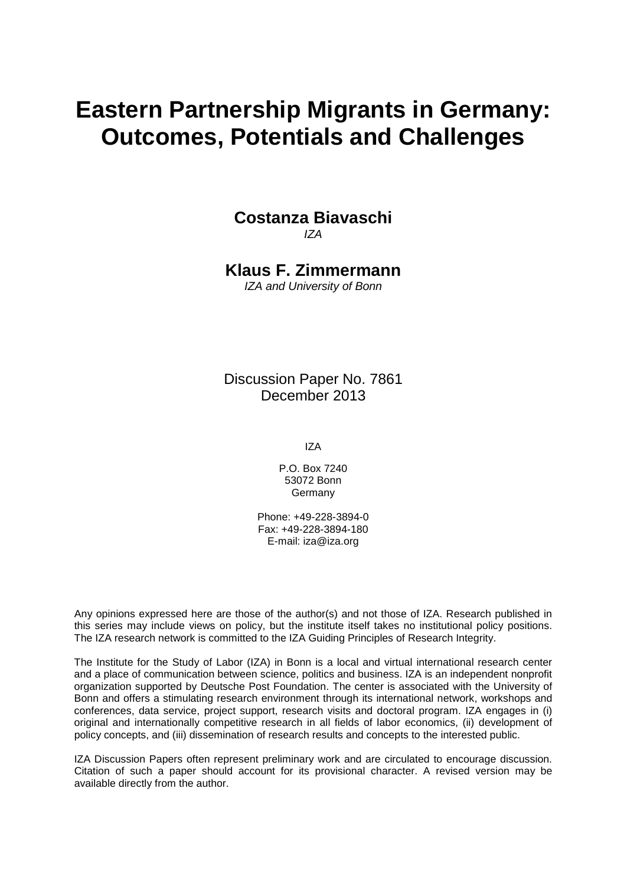# **Eastern Partnership Migrants in Germany: Outcomes, Potentials and Challenges**

## **Costanza Biavaschi**

*IZA*

**Klaus F. Zimmermann**

*IZA and University of Bonn*

Discussion Paper No. 7861 December 2013

IZA

P.O. Box 7240 53072 Bonn Germany

Phone: +49-228-3894-0 Fax: +49-228-3894-180 E-mail: [iza@iza.org](mailto:iza@iza.org)

Any opinions expressed here are those of the author(s) and not those of IZA. Research published in this series may include views on policy, but the institute itself takes no institutional policy positions. The IZA research network is committed to the IZA Guiding Principles of Research Integrity.

The Institute for the Study of Labor (IZA) in Bonn is a local and virtual international research center and a place of communication between science, politics and business. IZA is an independent nonprofit organization supported by Deutsche Post Foundation. The center is associated with the University of Bonn and offers a stimulating research environment through its international network, workshops and conferences, data service, project support, research visits and doctoral program. IZA engages in (i) original and internationally competitive research in all fields of labor economics, (ii) development of policy concepts, and (iii) dissemination of research results and concepts to the interested public.

IZA Discussion Papers often represent preliminary work and are circulated to encourage discussion. Citation of such a paper should account for its provisional character. A revised version may be available directly from the author.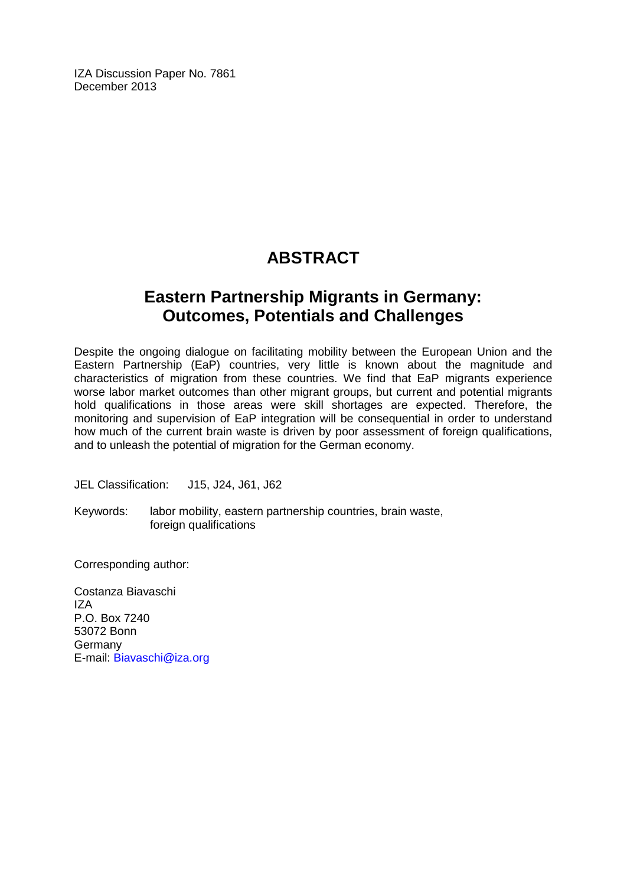IZA Discussion Paper No. 7861 December 2013

## **ABSTRACT**

## **Eastern Partnership Migrants in Germany: Outcomes, Potentials and Challenges**

Despite the ongoing dialogue on facilitating mobility between the European Union and the Eastern Partnership (EaP) countries, very little is known about the magnitude and characteristics of migration from these countries. We find that EaP migrants experience worse labor market outcomes than other migrant groups, but current and potential migrants hold qualifications in those areas were skill shortages are expected. Therefore, the monitoring and supervision of EaP integration will be consequential in order to understand how much of the current brain waste is driven by poor assessment of foreign qualifications, and to unleash the potential of migration for the German economy.

JEL Classification: J15, J24, J61, J62

Keywords: labor mobility, eastern partnership countries, brain waste, foreign qualifications

Corresponding author:

Costanza Biavaschi IZA P.O. Box 7240 53072 Bonn Germany E-mail: [Biavaschi@iza.org](mailto:Biavaschi@iza.org)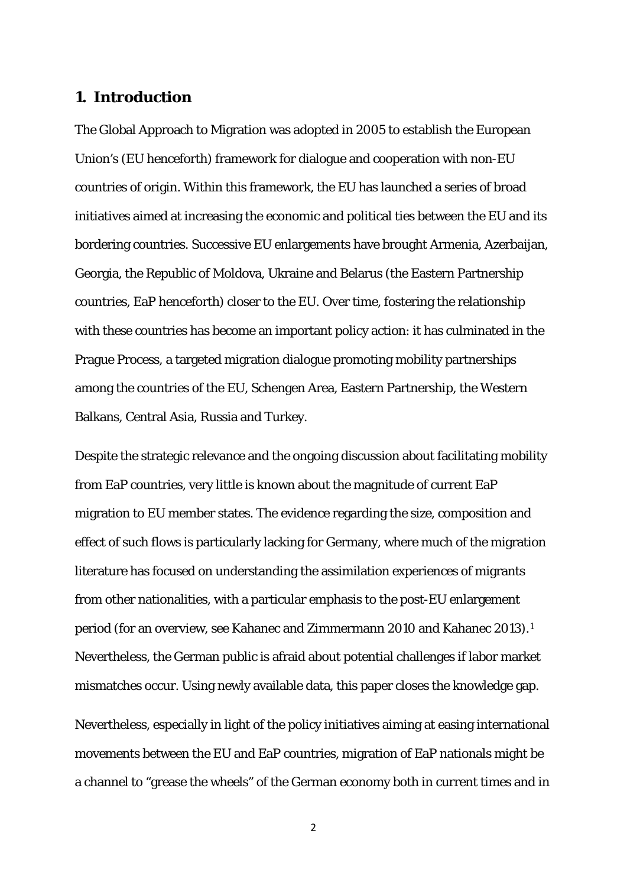## **1. Introduction**

The Global Approach to Migration was adopted in 2005 to establish the European Union's (EU henceforth) framework for dialogue and cooperation with non-EU countries of origin. Within this framework, the EU has launched a series of broad initiatives aimed at increasing the economic and political ties between the EU and its bordering countries. Successive EU enlargements have brought Armenia, Azerbaijan, Georgia, the Republic of Moldova, Ukraine and Belarus (the Eastern Partnership countries, EaP henceforth) closer to the EU. Over time, fostering the relationship with these countries has become an important policy action: it has culminated in the Prague Process, a targeted migration dialogue promoting mobility partnerships among the countries of the EU, Schengen Area, Eastern Partnership, the Western Balkans, Central Asia, Russia and Turkey.

Despite the strategic relevance and the ongoing discussion about facilitating mobility from EaP countries, very little is known about the magnitude of current EaP migration to EU member states. The evidence regarding the size, composition and effect of such flows is particularly lacking for Germany, where much of the migration literature has focused on understanding the assimilation experiences of migrants from other nationalities, with a particular emphasis to the post-EU enlargement period (for an overview, see Kahanec and Zimmermann 2010 and Kahanec 2013).[1](#page-29-0) Nevertheless, the German public is afraid about potential challenges if labor market mismatches occur. Using newly available data, this paper closes the knowledge gap.

Nevertheless, especially in light of the policy initiatives aiming at easing international movements between the EU and EaP countries, migration of EaP nationals might be a channel to "grease the wheels" of the German economy both in current times and in

<sup>2</sup>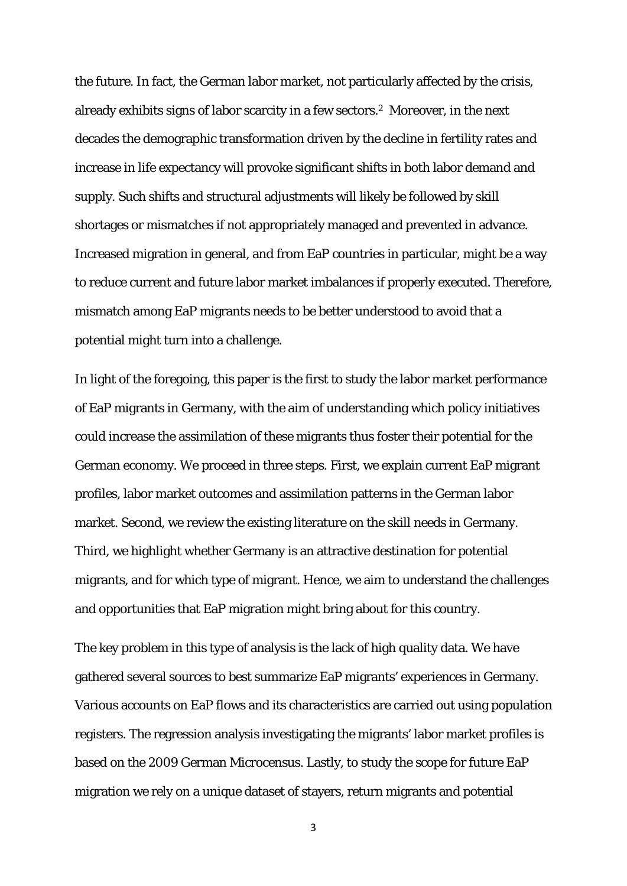the future. In fact, the German labor market, not particularly affected by the crisis, already exhibits signs of labor scarcity in a few sectors.2 Moreover, in the next decades the demographic transformation driven by the decline in fertility rates and increase in life expectancy will provoke significant shifts in both labor demand and supply. Such shifts and structural adjustments will likely be followed by skill shortages or mismatches if not appropriately managed and prevented in advance. Increased migration in general, and from EaP countries in particular, might be a way to reduce current and future labor market imbalances if properly executed. Therefore, mismatch among EaP migrants needs to be better understood to avoid that a potential might turn into a challenge.

In light of the foregoing, this paper is the first to study the labor market performance of EaP migrants in Germany, with the aim of understanding which policy initiatives could increase the assimilation of these migrants thus foster their potential for the German economy. We proceed in three steps. First, we explain current EaP migrant profiles, labor market outcomes and assimilation patterns in the German labor market. Second, we review the existing literature on the skill needs in Germany. Third, we highlight whether Germany is an attractive destination for potential migrants, and for which type of migrant. Hence, we aim to understand the challenges and opportunities that EaP migration might bring about for this country.

The key problem in this type of analysis is the lack of high quality data. We have gathered several sources to best summarize EaP migrants' experiences in Germany. Various accounts on EaP flows and its characteristics are carried out using population registers. The regression analysis investigating the migrants' labor market profiles is based on the 2009 German Microcensus. Lastly, to study the scope for future EaP migration we rely on a unique dataset of stayers, return migrants and potential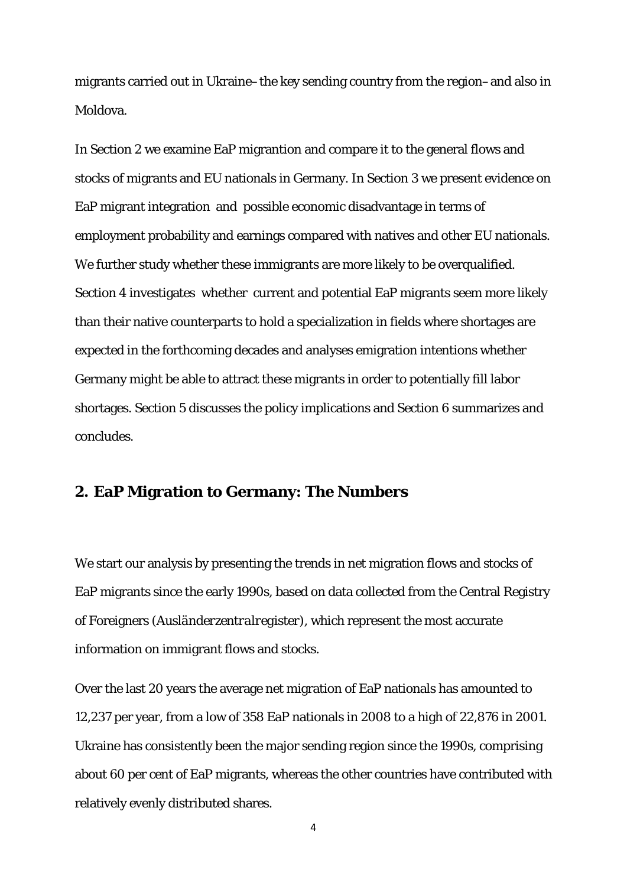migrants carried out in Ukraine–the key sending country from the region–and also in Moldova.

In Section 2 we examine EaP migrantion and compare it to the general flows and stocks of migrants and EU nationals in Germany. In Section 3 we present evidence on EaP migrant integration and possible economic disadvantage in terms of employment probability and earnings compared with natives and other EU nationals. We further study whether these immigrants are more likely to be overqualified. Section 4 investigates whether current and potential EaP migrants seem more likely than their native counterparts to hold a specialization in fields where shortages are expected in the forthcoming decades and analyses emigration intentions whether Germany might be able to attract these migrants in order to potentially fill labor shortages. Section 5 discusses the policy implications and Section 6 summarizes and concludes.

## **2. EaP Migration to Germany: The Numbers**

We start our analysis by presenting the trends in net migration flows and stocks of EaP migrants since the early 1990s, based on data collected from the Central Registry of Foreigners (*Ausländerzentralregister*), which represent the most accurate information on immigrant flows and stocks.

Over the last 20 years the average net migration of EaP nationals has amounted to 12,237 per year, from a low of 358 EaP nationals in 2008 to a high of 22,876 in 2001. Ukraine has consistently been the major sending region since the 1990s, comprising about 60 per cent of EaP migrants, whereas the other countries have contributed with relatively evenly distributed shares.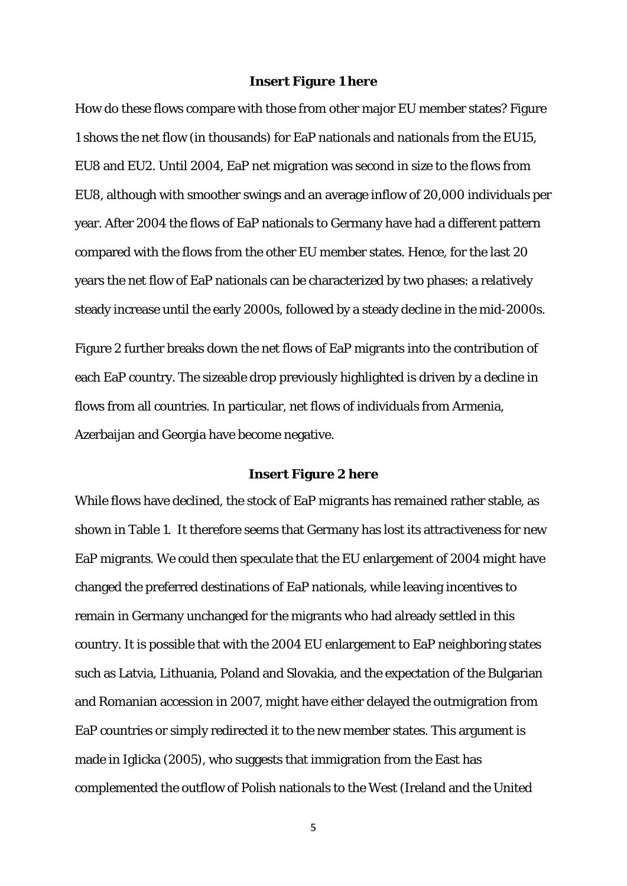#### **Insert Figure 1 here**

How do these flows compare with those from other major EU member states? Figure 1 shows the net flow (in thousands) for EaP nationals and nationals from the EU15, EU8 and EU2. Until 2004, EaP net migration was second in size to the flows from EU8, although with smoother swings and an average inflow of 20,000 individuals per year. After 2004 the flows of EaP nationals to Germany have had a different pattern compared with the flows from the other EU member states. Hence, for the last 20 years the net flow of EaP nationals can be characterized by two phases: a relatively steady increase until the early 2000s, followed by a steady decline in the mid-2000s.

Figure 2 further breaks down the net flows of EaP migrants into the contribution of each EaP country. The sizeable drop previously highlighted is driven by a decline in flows from all countries. In particular, net flows of individuals from Armenia, Azerbaijan and Georgia have become negative.

#### **Insert Figure 2 here**

While flows have declined, the stock of EaP migrants has remained rather stable, as shown in Table 1. It therefore seems that Germany has lost its attractiveness for new EaP migrants. We could then speculate that the EU enlargement of 2004 might have changed the preferred destinations of EaP nationals, while leaving incentives to remain in Germany unchanged for the migrants who had already settled in this country. It is possible that with the 2004 EU enlargement to EaP neighboring states such as Latvia, Lithuania, Poland and Slovakia, and the expectation of the Bulgarian and Romanian accession in 2007, might have either delayed the outmigration from EaP countries or simply redirected it to the new member states. This argument is made in Iglicka (2005), who suggests that immigration from the East has complemented the outflow of Polish nationals to the West (Ireland and the United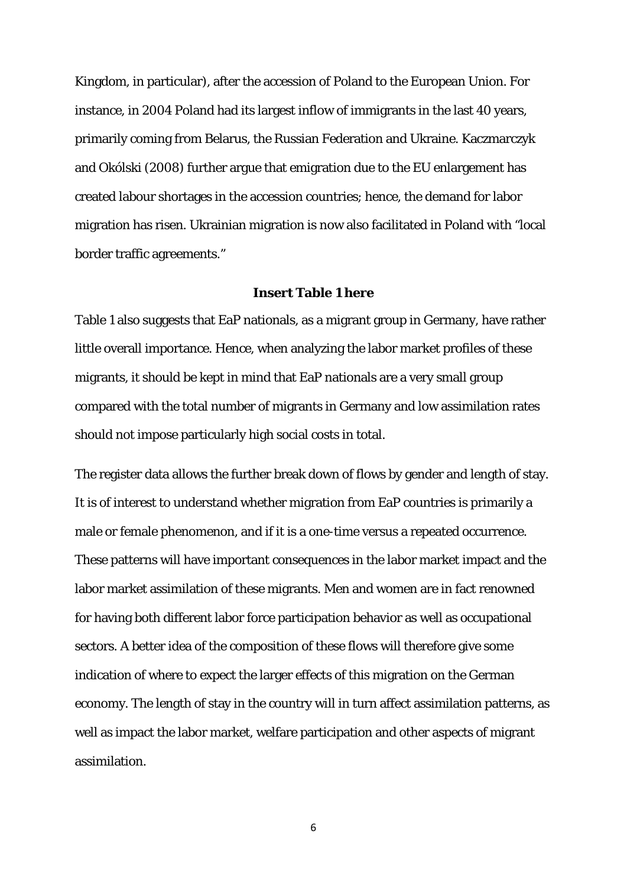Kingdom, in particular), after the accession of Poland to the European Union. For instance, in 2004 Poland had its largest inflow of immigrants in the last 40 years, primarily coming from Belarus, the Russian Federation and Ukraine. Kaczmarczyk and Okólski (2008) further argue that emigration due to the EU enlargement has created labour shortages in the accession countries; hence, the demand for labor migration has risen. Ukrainian migration is now also facilitated in Poland with "local border traffic agreements."

#### **Insert Table 1 here**

Table 1 also suggests that EaP nationals, as a migrant group in Germany, have rather little overall importance. Hence, when analyzing the labor market profiles of these migrants, it should be kept in mind that EaP nationals are a very small group compared with the total number of migrants in Germany and low assimilation rates should not impose particularly high social costs in total.

The register data allows the further break down of flows by gender and length of stay. It is of interest to understand whether migration from EaP countries is primarily a male or female phenomenon, and if it is a one-time versus a repeated occurrence. These patterns will have important consequences in the labor market impact and the labor market assimilation of these migrants. Men and women are in fact renowned for having both different labor force participation behavior as well as occupational sectors. A better idea of the composition of these flows will therefore give some indication of where to expect the larger effects of this migration on the German economy. The length of stay in the country will in turn affect assimilation patterns, as well as impact the labor market, welfare participation and other aspects of migrant assimilation.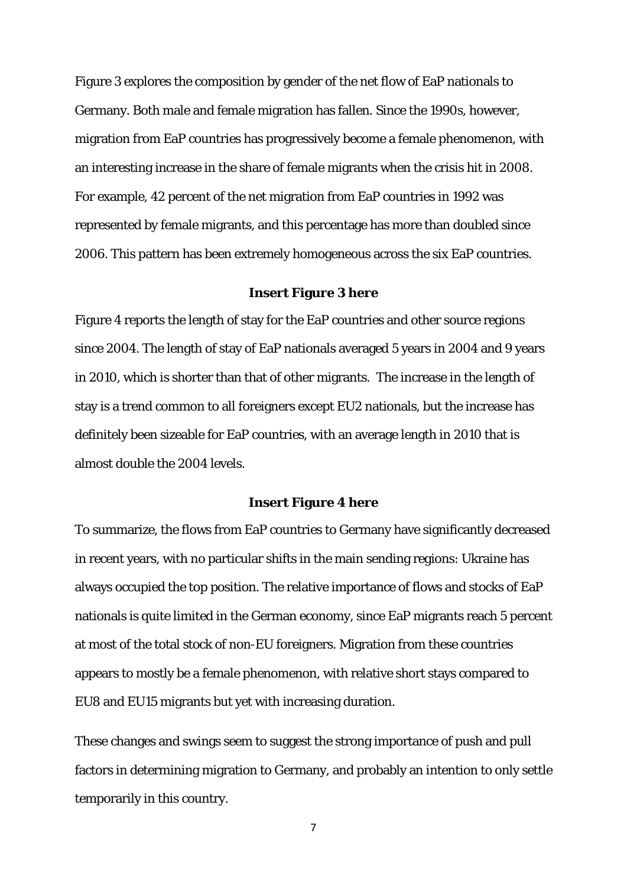Figure 3 explores the composition by gender of the net flow of EaP nationals to Germany. Both male and female migration has fallen. Since the 1990s, however, migration from EaP countries has progressively become a female phenomenon, with an interesting increase in the share of female migrants when the crisis hit in 2008. For example, 42 percent of the net migration from EaP countries in 1992 was represented by female migrants, and this percentage has more than doubled since 2006. This pattern has been extremely homogeneous across the six EaP countries.

#### **Insert Figure 3 here**

Figure 4 reports the length of stay for the EaP countries and other source regions since 2004. The length of stay of EaP nationals averaged 5 years in 2004 and 9 years in 2010, which is shorter than that of other migrants. The increase in the length of stay is a trend common to all foreigners except EU2 nationals, but the increase has definitely been sizeable for EaP countries, with an average length in 2010 that is almost double the 2004 levels.

#### **Insert Figure 4 here**

To summarize, the flows from EaP countries to Germany have significantly decreased in recent years, with no particular shifts in the main sending regions: Ukraine has always occupied the top position. The relative importance of flows and stocks of EaP nationals is quite limited in the German economy, since EaP migrants reach 5 percent at most of the total stock of non-EU foreigners. Migration from these countries appears to mostly be a female phenomenon, with relative short stays compared to EU8 and EU15 migrants but yet with increasing duration.

These changes and swings seem to suggest the strong importance of push and pull factors in determining migration to Germany, and probably an intention to only settle temporarily in this country.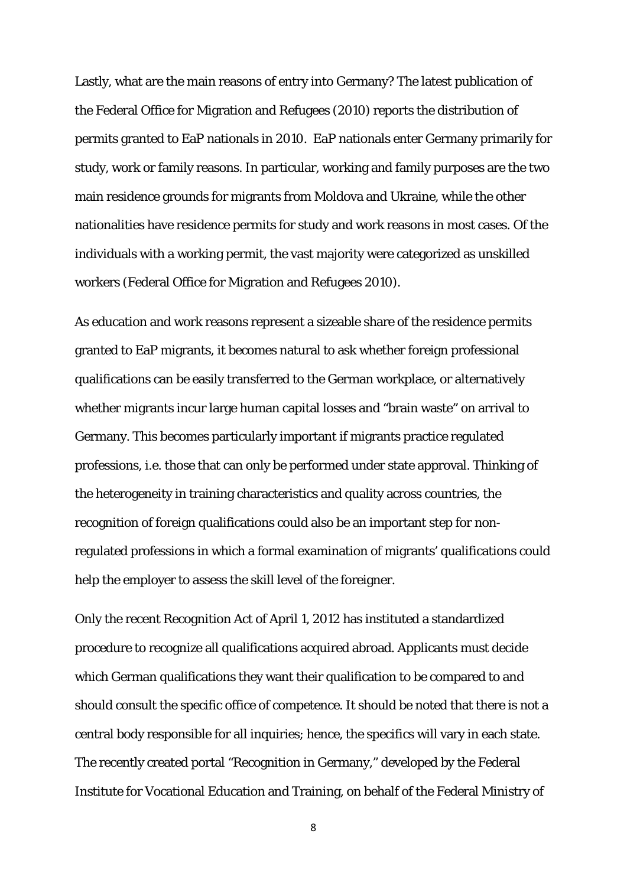Lastly, what are the main reasons of entry into Germany? The latest publication of the Federal Office for Migration and Refugees (2010) reports the distribution of permits granted to EaP nationals in 2010. EaP nationals enter Germany primarily for study, work or family reasons. In particular, working and family purposes are the two main residence grounds for migrants from Moldova and Ukraine, while the other nationalities have residence permits for study and work reasons in most cases. Of the individuals with a working permit, the vast majority were categorized as unskilled workers (Federal Office for Migration and Refugees 2010).

As education and work reasons represent a sizeable share of the residence permits granted to EaP migrants, it becomes natural to ask whether foreign professional qualifications can be easily transferred to the German workplace, or alternatively whether migrants incur large human capital losses and "brain waste" on arrival to Germany. This becomes particularly important if migrants practice regulated professions, i.e. those that can only be performed under state approval. Thinking of the heterogeneity in training characteristics and quality across countries, the recognition of foreign qualifications could also be an important step for nonregulated professions in which a formal examination of migrants' qualifications could help the employer to assess the skill level of the foreigner.

Only the recent Recognition Act of April 1, 2012 has instituted a standardized procedure to recognize all qualifications acquired abroad. Applicants must decide which German qualifications they want their qualification to be compared to and should consult the specific office of competence. It should be noted that there is not a central body responsible for all inquiries; hence, the specifics will vary in each state. The recently created portal "Recognition in Germany," developed by the Federal Institute for Vocational Education and Training, on behalf of the Federal Ministry of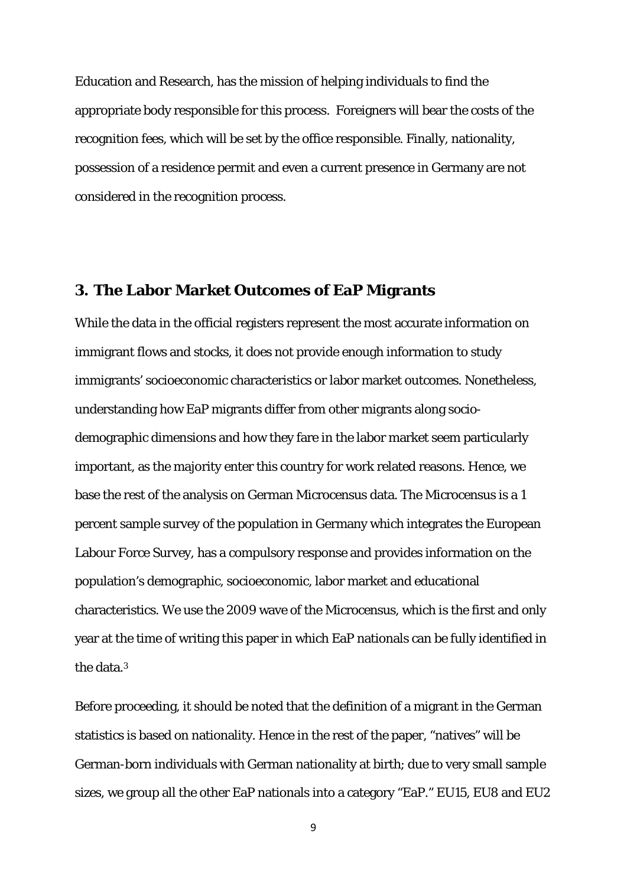Education and Research, has the mission of helping individuals to find the appropriate body responsible for this process. Foreigners will bear the costs of the recognition fees, which will be set by the office responsible. Finally, nationality, possession of a residence permit and even a current presence in Germany are not considered in the recognition process.

## **3. The Labor Market Outcomes of EaP Migrants**

While the data in the official registers represent the most accurate information on immigrant flows and stocks, it does not provide enough information to study immigrants' socioeconomic characteristics or labor market outcomes. Nonetheless, understanding how EaP migrants differ from other migrants along sociodemographic dimensions and how they fare in the labor market seem particularly important, as the majority enter this country for work related reasons. Hence, we base the rest of the analysis on German Microcensus data. The Microcensus is a 1 percent sample survey of the population in Germany which integrates the European Labour Force Survey, has a compulsory response and provides information on the population's demographic, socioeconomic, labor market and educational characteristics. We use the 2009 wave of the Microcensus, which is the first and only year at the time of writing this paper in which EaP nationals can be fully identified in the data.3

Before proceeding, it should be noted that the definition of a migrant in the German statistics is based on nationality. Hence in the rest of the paper, "natives" will be German-born individuals with German nationality at birth; due to very small sample sizes, we group all the other EaP nationals into a category "EaP." EU15, EU8 and EU2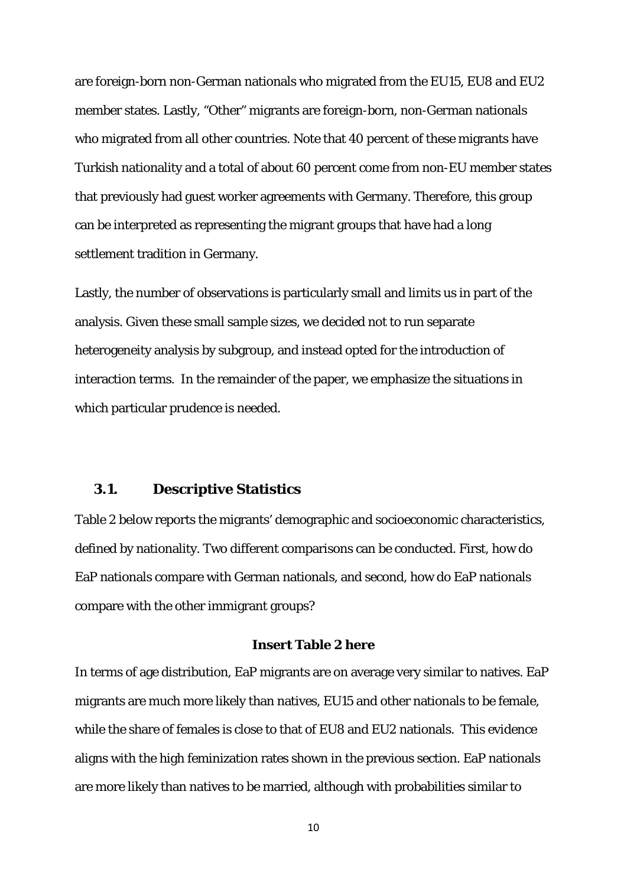are foreign-born non-German nationals who migrated from the EU15, EU8 and EU2 member states. Lastly, "Other" migrants are foreign-born, non-German nationals who migrated from all other countries. Note that 40 percent of these migrants have Turkish nationality and a total of about 60 percent come from non-EU member states that previously had guest worker agreements with Germany. Therefore, this group can be interpreted as representing the migrant groups that have had a long settlement tradition in Germany.

Lastly, the number of observations is particularly small and limits us in part of the analysis. Given these small sample sizes, we decided not to run separate heterogeneity analysis by subgroup, and instead opted for the introduction of interaction terms. In the remainder of the paper, we emphasize the situations in which particular prudence is needed.

### **3.1. Descriptive Statistics**

Table 2 below reports the migrants' demographic and socioeconomic characteristics, defined by nationality. Two different comparisons can be conducted. First, how do EaP nationals compare with German nationals, and second, how do EaP nationals compare with the other immigrant groups?

### **Insert Table 2 here**

In terms of age distribution, EaP migrants are on average very similar to natives. EaP migrants are much more likely than natives, EU15 and other nationals to be female, while the share of females is close to that of EU8 and EU2 nationals. This evidence aligns with the high feminization rates shown in the previous section. EaP nationals are more likely than natives to be married, although with probabilities similar to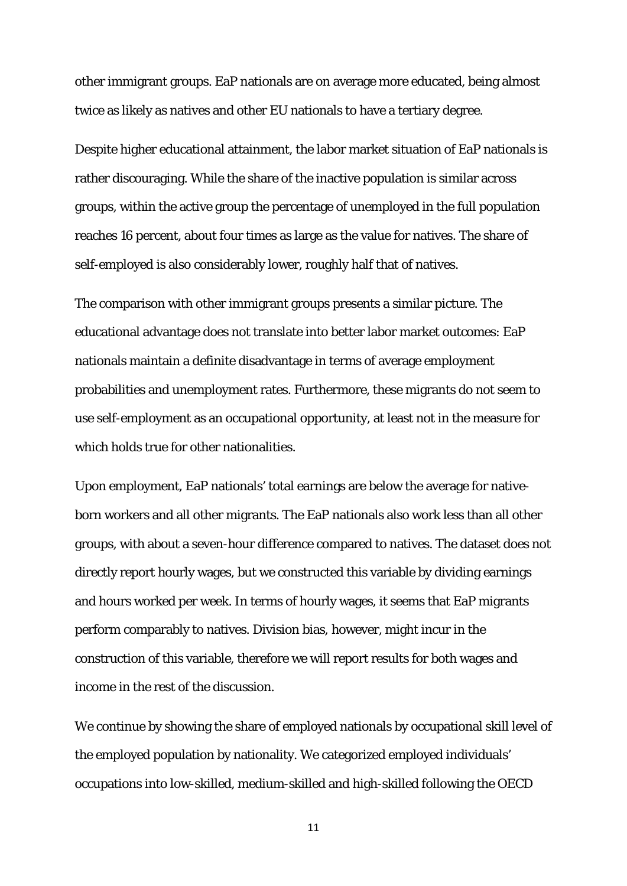other immigrant groups. EaP nationals are on average more educated, being almost twice as likely as natives and other EU nationals to have a tertiary degree.

Despite higher educational attainment, the labor market situation of EaP nationals is rather discouraging. While the share of the inactive population is similar across groups, within the active group the percentage of unemployed in the full population reaches 16 percent, about four times as large as the value for natives. The share of self-employed is also considerably lower, roughly half that of natives.

The comparison with other immigrant groups presents a similar picture. The educational advantage does not translate into better labor market outcomes: EaP nationals maintain a definite disadvantage in terms of average employment probabilities and unemployment rates. Furthermore, these migrants do not seem to use self-employment as an occupational opportunity, at least not in the measure for which holds true for other nationalities.

Upon employment, EaP nationals' total earnings are below the average for nativeborn workers and all other migrants. The EaP nationals also work less than all other groups, with about a seven-hour difference compared to natives. The dataset does not directly report hourly wages, but we constructed this variable by dividing earnings and hours worked per week. In terms of hourly wages, it seems that EaP migrants perform comparably to natives. Division bias, however, might incur in the construction of this variable, therefore we will report results for both wages and income in the rest of the discussion.

We continue by showing the share of employed nationals by occupational skill level of the employed population by nationality. We categorized employed individuals' occupations into low-skilled, medium-skilled and high-skilled following the OECD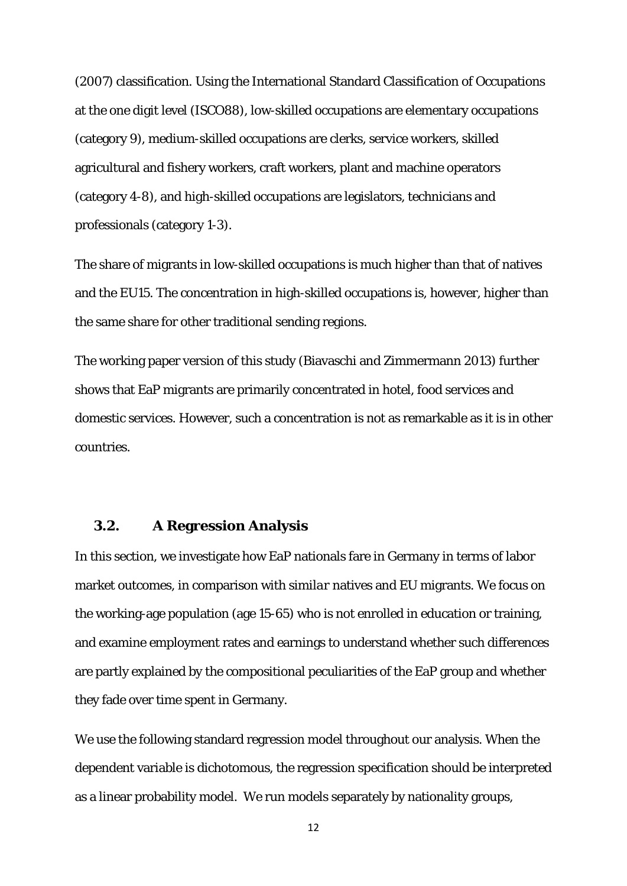(2007) classification. Using the International Standard Classification of Occupations at the one digit level (ISCO88), low-skilled occupations are elementary occupations (category 9), medium-skilled occupations are clerks, service workers, skilled agricultural and fishery workers, craft workers, plant and machine operators (category 4-8), and high-skilled occupations are legislators, technicians and professionals (category 1-3).

The share of migrants in low-skilled occupations is much higher than that of natives and the EU15. The concentration in high-skilled occupations is, however, higher than the same share for other traditional sending regions.

The working paper version of this study (Biavaschi and Zimmermann 2013) further shows that EaP migrants are primarily concentrated in hotel, food services and domestic services. However, such a concentration is not as remarkable as it is in other countries.

#### **3.2. A Regression Analysis**

In this section, we investigate how EaP nationals fare in Germany in terms of labor market outcomes, in comparison with *similar* natives and EU migrants. We focus on the working-age population (age 15-65) who is not enrolled in education or training, and examine employment rates and earnings to understand whether such differences are partly explained by the compositional peculiarities of the EaP group and whether they fade over time spent in Germany.

We use the following standard regression model throughout our analysis. When the dependent variable is dichotomous, the regression specification should be interpreted as a linear probability model. We run models separately by nationality groups,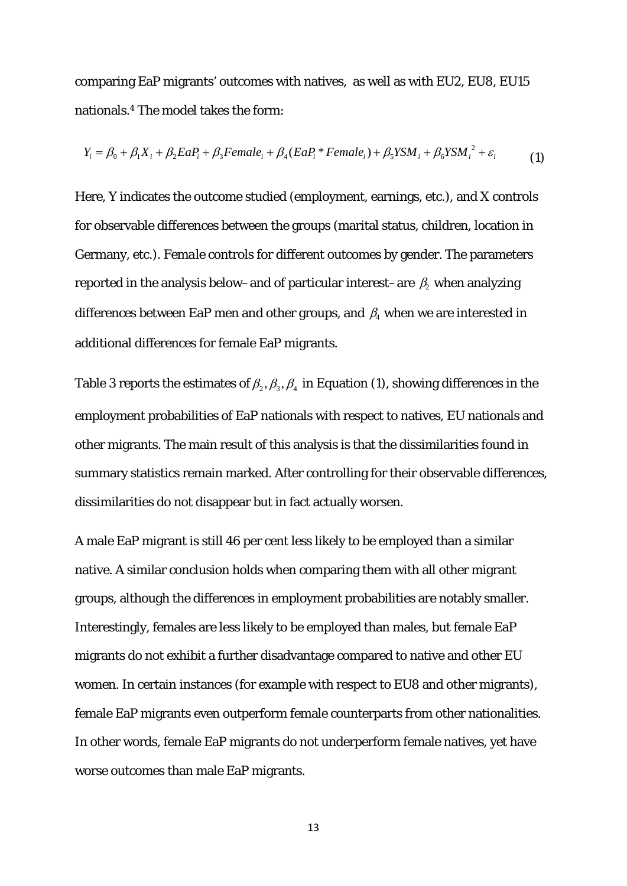comparing EaP migrants' outcomes with natives, as well as with EU2, EU8, EU15 nationals.4 The model takes the form:

$$
Y_i = \beta_0 + \beta_1 X_i + \beta_2 E a P_i + \beta_3 F e male_i + \beta_4 (E a P_i * Female_i) + \beta_5 Y S M_i + \beta_6 Y S M_i^2 + \varepsilon_i
$$
 (1)

Here, *Y* indicates the outcome studied (employment, earnings, etc.), and *X* controls for observable differences between the groups (marital status, children, location in Germany, etc.). *Female* controls for different outcomes by gender. The parameters reported in the analysis below–and of particular interest–are  $\,\beta_{\!2}$  when analyzing differences between EaP men and other groups, and  $\,\beta_{\!4}$  when we are interested in additional differences for female EaP migrants.

Table 3 reports the estimates of  $\beta_2$ ,  $\beta_3$ ,  $\beta_4$  in Equation (1), showing differences in the employment probabilities of EaP nationals with respect to natives, EU nationals and other migrants. The main result of this analysis is that the dissimilarities found in summary statistics remain marked. After controlling for their observable differences, dissimilarities do not disappear but in fact actually worsen.

A male EaP migrant is still 46 per cent less likely to be employed than a similar native. A similar conclusion holds when comparing them with all other migrant groups, although the differences in employment probabilities are notably smaller. Interestingly, females are less likely to be employed than males, but female EaP migrants do not exhibit a further disadvantage compared to native and other EU women. In certain instances (for example with respect to EU8 and other migrants), female EaP migrants even outperform female counterparts from other nationalities. In other words, female EaP migrants do not underperform female natives, yet have worse outcomes than male EaP migrants.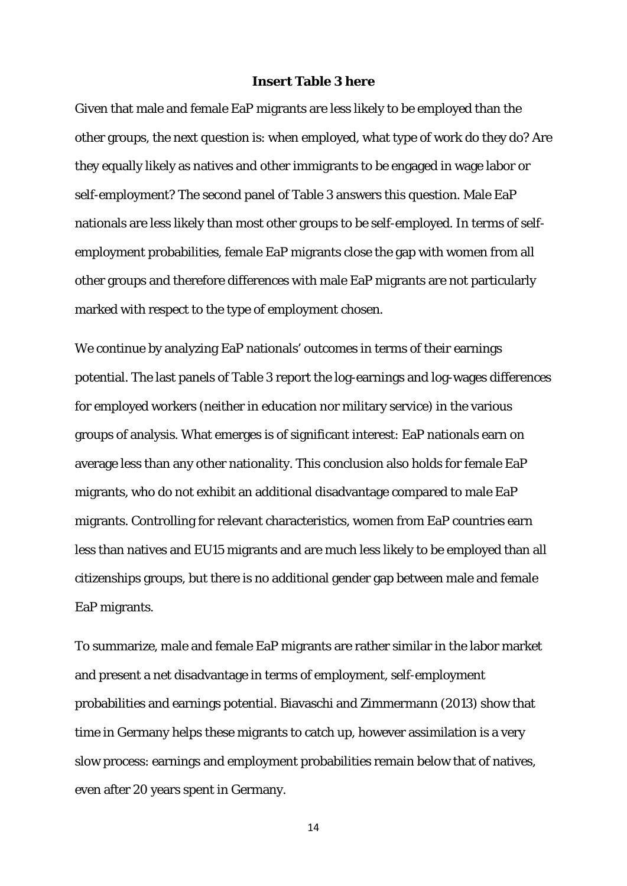#### **Insert Table 3 here**

Given that male and female EaP migrants are less likely to be employed than the other groups, the next question is: when employed, what type of work do they do? Are they equally likely as natives and other immigrants to be engaged in wage labor or self-employment? The second panel of Table 3 answers this question. Male EaP nationals are less likely than most other groups to be self-employed. In terms of selfemployment probabilities, female EaP migrants close the gap with women from all other groups and therefore differences with male EaP migrants are not particularly marked with respect to the type of employment chosen.

We continue by analyzing EaP nationals' outcomes in terms of their earnings potential. The last panels of Table 3 report the log-earnings and log-wages differences for employed workers (neither in education nor military service) in the various groups of analysis. What emerges is of significant interest: EaP nationals earn on average less than any other nationality. This conclusion also holds for female EaP migrants, who do not exhibit an additional disadvantage compared to male EaP migrants. Controlling for relevant characteristics, women from EaP countries earn less than natives and EU15 migrants and are much less likely to be employed than all citizenships groups, but there is no additional gender gap between male and female EaP migrants.

To summarize, male and female EaP migrants are rather similar in the labor market and present a net disadvantage in terms of employment, self-employment probabilities and earnings potential. Biavaschi and Zimmermann (2013) show that time in Germany helps these migrants to catch up, however assimilation is a very slow process: earnings and employment probabilities remain below that of natives, even after 20 years spent in Germany.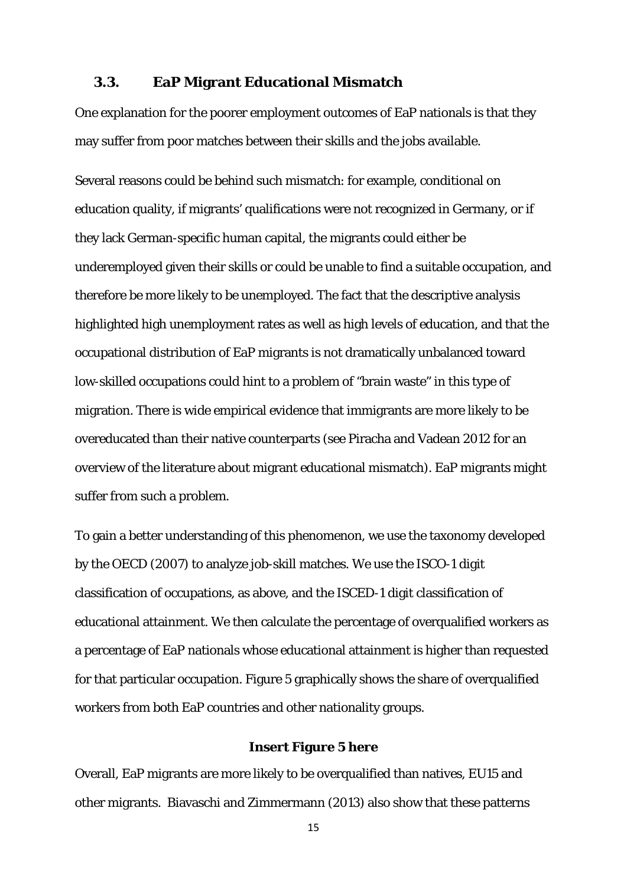### **3.3. EaP Migrant Educational Mismatch**

One explanation for the poorer employment outcomes of EaP nationals is that they may suffer from poor matches between their skills and the jobs available.

Several reasons could be behind such mismatch: for example, conditional on education quality, if migrants' qualifications were not recognized in Germany, or if they lack German-specific human capital, the migrants could either be underemployed given their skills or could be unable to find a suitable occupation, and therefore be more likely to be unemployed. The fact that the descriptive analysis highlighted high unemployment rates as well as high levels of education, and that the occupational distribution of EaP migrants is not dramatically unbalanced toward low-skilled occupations could hint to a problem of "brain waste" in this type of migration. There is wide empirical evidence that immigrants are more likely to be overeducated than their native counterparts (see Piracha and Vadean 2012 for an overview of the literature about migrant educational mismatch). EaP migrants might suffer from such a problem.

To gain a better understanding of this phenomenon, we use the taxonomy developed by the OECD (2007) to analyze job-skill matches. We use the ISCO-1 digit classification of occupations, as above, and the ISCED-1 digit classification of educational attainment. We then calculate the percentage of overqualified workers as a percentage of EaP nationals whose educational attainment is higher than requested for that particular occupation. Figure 5 graphically shows the share of overqualified workers from both EaP countries and other nationality groups.

#### **Insert Figure 5 here**

Overall, EaP migrants are more likely to be overqualified than natives, EU15 and other migrants. Biavaschi and Zimmermann (2013) also show that these patterns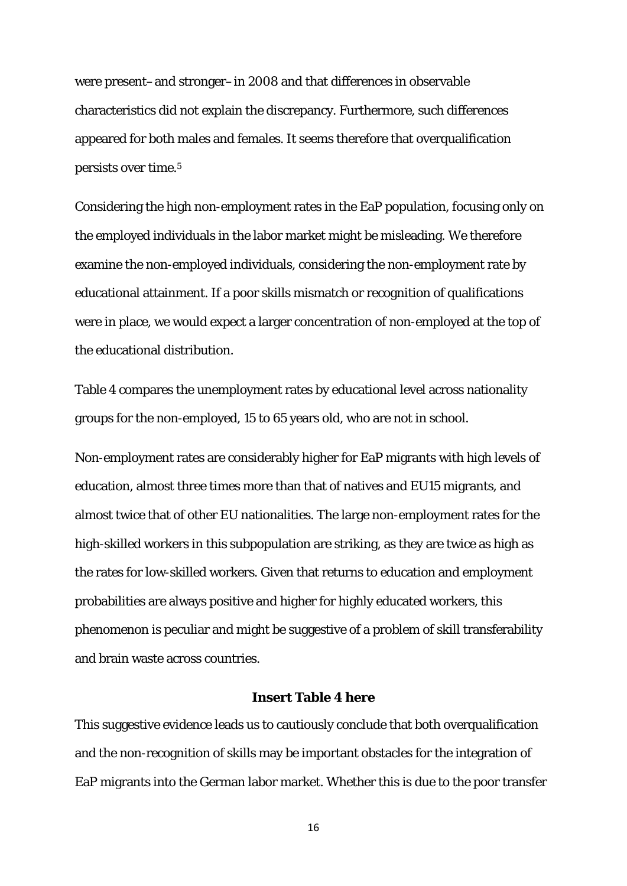were present–and stronger–in 2008 and that differences in observable characteristics did not explain the discrepancy. Furthermore, such differences appeared for both males and females. It seems therefore that overqualification persists over time.5

Considering the high non-employment rates in the EaP population, focusing only on the employed individuals in the labor market might be misleading. We therefore examine the non-employed individuals, considering the non-employment rate by educational attainment. If a poor skills mismatch or recognition of qualifications were in place, we would expect a larger concentration of non-employed at the top of the educational distribution.

Table 4 compares the unemployment rates by educational level across nationality groups for the non-employed, 15 to 65 years old, who are not in school.

Non-employment rates are considerably higher for EaP migrants with high levels of education, almost three times more than that of natives and EU15 migrants, and almost twice that of other EU nationalities. The large non-employment rates for the high-skilled workers in this subpopulation are striking, as they are twice as high as the rates for low-skilled workers. Given that returns to education and employment probabilities are always positive and higher for highly educated workers, this phenomenon is peculiar and might be suggestive of a problem of skill transferability and brain waste across countries.

### **Insert Table 4 here**

This suggestive evidence leads us to cautiously conclude that both overqualification and the non-recognition of skills may be important obstacles for the integration of EaP migrants into the German labor market. Whether this is due to the poor transfer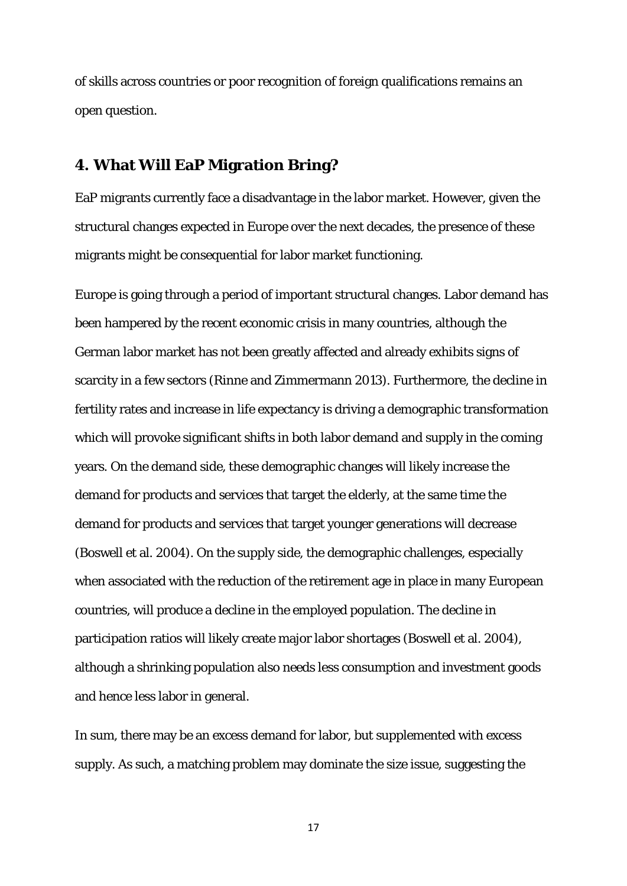of skills across countries or poor recognition of foreign qualifications remains an open question.

## **4. What Will EaP Migration Bring?**

EaP migrants currently face a disadvantage in the labor market. However, given the structural changes expected in Europe over the next decades, the presence of these migrants might be consequential for labor market functioning.

Europe is going through a period of important structural changes. Labor demand has been hampered by the recent economic crisis in many countries, although the German labor market has not been greatly affected and already exhibits signs of scarcity in a few sectors (Rinne and Zimmermann 2013). Furthermore, the decline in fertility rates and increase in life expectancy is driving a demographic transformation which will provoke significant shifts in both labor demand and supply in the coming years. On the demand side, these demographic changes will likely increase the demand for products and services that target the elderly, at the same time the demand for products and services that target younger generations will decrease (Boswell et al. 2004). On the supply side, the demographic challenges, especially when associated with the reduction of the retirement age in place in many European countries, will produce a decline in the employed population. The decline in participation ratios will likely create major labor shortages (Boswell et al. 2004), although a shrinking population also needs less consumption and investment goods and hence less labor in general.

In sum, there may be an excess demand for labor, but supplemented with excess supply. As such, a matching problem may dominate the size issue, suggesting the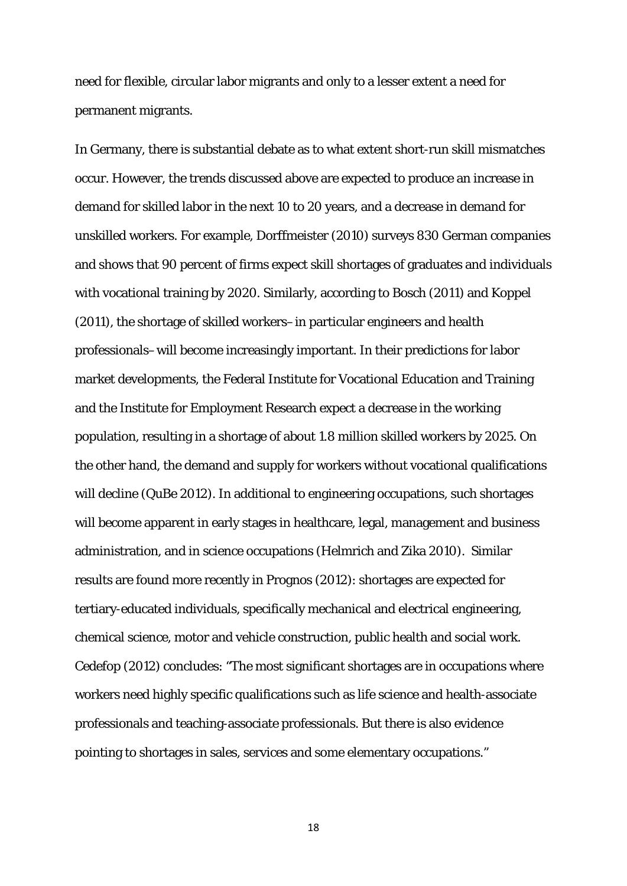need for flexible, circular labor migrants and only to a lesser extent a need for permanent migrants.

In Germany, there is substantial debate as to what extent short-run skill mismatches occur. However, the trends discussed above are expected to produce an increase in demand for skilled labor in the next 10 to 20 years, and a decrease in demand for unskilled workers. For example, Dorffmeister (2010) surveys 830 German companies and shows that 90 percent of firms expect skill shortages of graduates and individuals with vocational training by 2020. Similarly, according to Bosch (2011) and Koppel (2011), the shortage of skilled workers–in particular engineers and health professionals–will become increasingly important. In their predictions for labor market developments, the Federal Institute for Vocational Education and Training and the Institute for Employment Research expect a decrease in the working population, resulting in a shortage of about 1.8 million skilled workers by 2025. On the other hand, the demand and supply for workers without vocational qualifications will decline (QuBe 2012). In additional to engineering occupations, such shortages will become apparent in early stages in healthcare, legal, management and business administration, and in science occupations (Helmrich and Zika 2010). Similar results are found more recently in Prognos (2012): shortages are expected for tertiary-educated individuals, specifically mechanical and electrical engineering, chemical science, motor and vehicle construction, public health and social work. Cedefop (2012) concludes: "The most significant shortages are in occupations where workers need highly specific qualifications such as life science and health-associate professionals and teaching-associate professionals. But there is also evidence pointing to shortages in sales, services and some elementary occupations."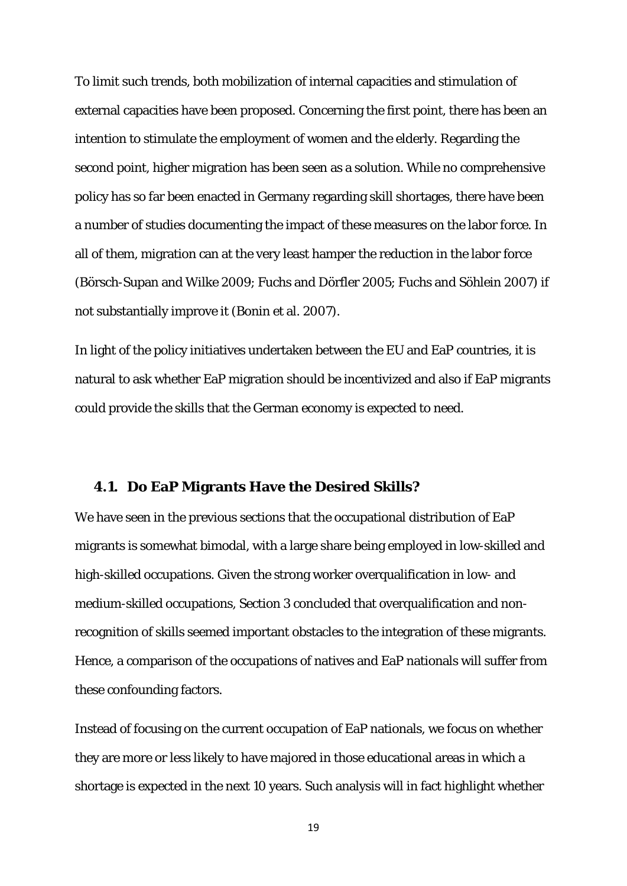To limit such trends, both mobilization of internal capacities and stimulation of external capacities have been proposed. Concerning the first point, there has been an intention to stimulate the employment of women and the elderly. Regarding the second point, higher migration has been seen as a solution. While no comprehensive policy has so far been enacted in Germany regarding skill shortages, there have been a number of studies documenting the impact of these measures on the labor force. In all of them, migration can at the very least hamper the reduction in the labor force (Börsch-Supan and Wilke 2009; Fuchs and Dörfler 2005; Fuchs and Söhlein 2007) if not substantially improve it (Bonin et al. 2007).

In light of the policy initiatives undertaken between the EU and EaP countries, it is natural to ask whether EaP migration should be incentivized and also if EaP migrants could provide the skills that the German economy is expected to need.

#### **4.1. Do EaP Migrants Have the Desired Skills?**

We have seen in the previous sections that the occupational distribution of EaP migrants is somewhat bimodal, with a large share being employed in low-skilled and high-skilled occupations. Given the strong worker overqualification in low- and medium-skilled occupations, Section 3 concluded that overqualification and nonrecognition of skills seemed important obstacles to the integration of these migrants. Hence, a comparison of the occupations of natives and EaP nationals will suffer from these confounding factors.

Instead of focusing on the current occupation of EaP nationals, we focus on whether they are more or less likely to have majored in those educational areas in which a shortage is expected in the next 10 years. Such analysis will in fact highlight whether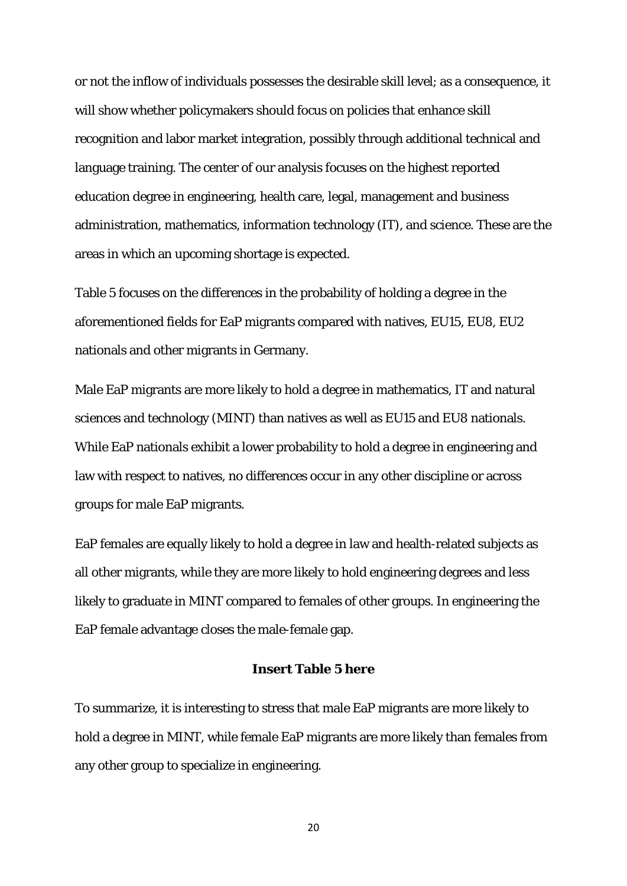or not the inflow of individuals possesses the desirable skill level; as a consequence, it will show whether policymakers should focus on policies that enhance skill recognition and labor market integration, possibly through additional technical and language training. The center of our analysis focuses on the highest reported education degree in engineering, health care, legal, management and business administration, mathematics, information technology (IT), and science. These are the areas in which an upcoming shortage is expected.

Table 5 focuses on the differences in the probability of holding a degree in the aforementioned fields for EaP migrants compared with natives, EU15, EU8, EU2 nationals and other migrants in Germany.

Male EaP migrants are more likely to hold a degree in mathematics, IT and natural sciences and technology (MINT) than natives as well as EU15 and EU8 nationals. While EaP nationals exhibit a lower probability to hold a degree in engineering and law with respect to natives, no differences occur in any other discipline or across groups for male EaP migrants.

EaP females are equally likely to hold a degree in law and health-related subjects as all other migrants, while they are more likely to hold engineering degrees and less likely to graduate in MINT compared to females of other groups. In engineering the EaP female advantage closes the male-female gap.

#### **Insert Table 5 here**

To summarize, it is interesting to stress that male EaP migrants are more likely to hold a degree in MINT, while female EaP migrants are more likely than females from any other group to specialize in engineering.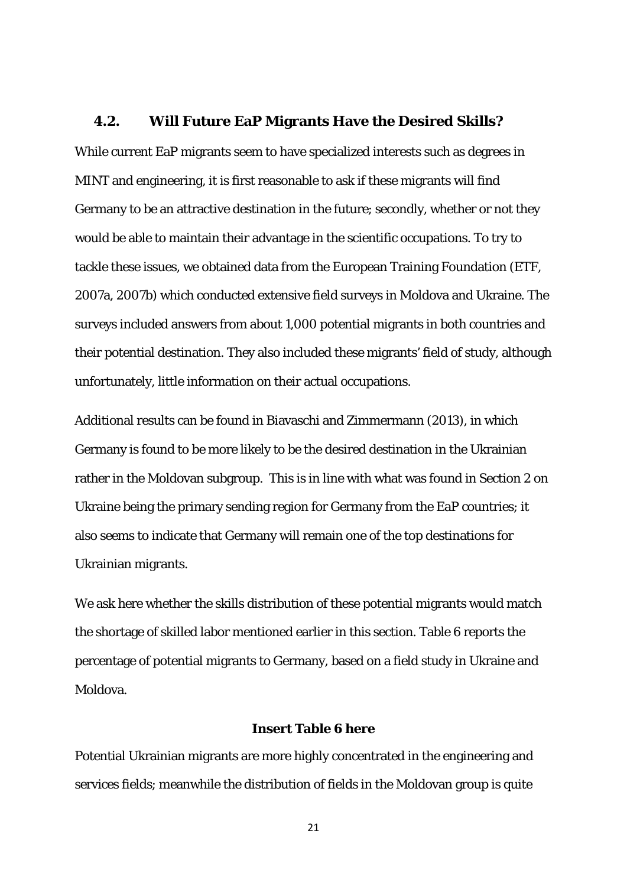### **4.2. Will Future EaP Migrants Have the Desired Skills?**

While current EaP migrants seem to have specialized interests such as degrees in MINT and engineering, it is first reasonable to ask if these migrants will find Germany to be an attractive destination in the future; secondly, whether or not they would be able to maintain their advantage in the scientific occupations. To try to tackle these issues, we obtained data from the European Training Foundation (ETF, 2007a, 2007b) which conducted extensive field surveys in Moldova and Ukraine. The surveys included answers from about 1,000 potential migrants in both countries and their potential destination. They also included these migrants' field of study, although unfortunately, little information on their actual occupations.

Additional results can be found in Biavaschi and Zimmermann (2013), in which Germany is found to be more likely to be the desired destination in the Ukrainian rather in the Moldovan subgroup. This is in line with what was found in Section 2 on Ukraine being the primary sending region for Germany from the EaP countries; it also seems to indicate that Germany will remain one of the top destinations for Ukrainian migrants.

We ask here whether the skills distribution of these potential migrants would match the shortage of skilled labor mentioned earlier in this section. Table 6 reports the percentage of potential migrants to Germany, based on a field study in Ukraine and Moldova.

#### **Insert Table 6 here**

Potential Ukrainian migrants are more highly concentrated in the engineering and services fields; meanwhile the distribution of fields in the Moldovan group is quite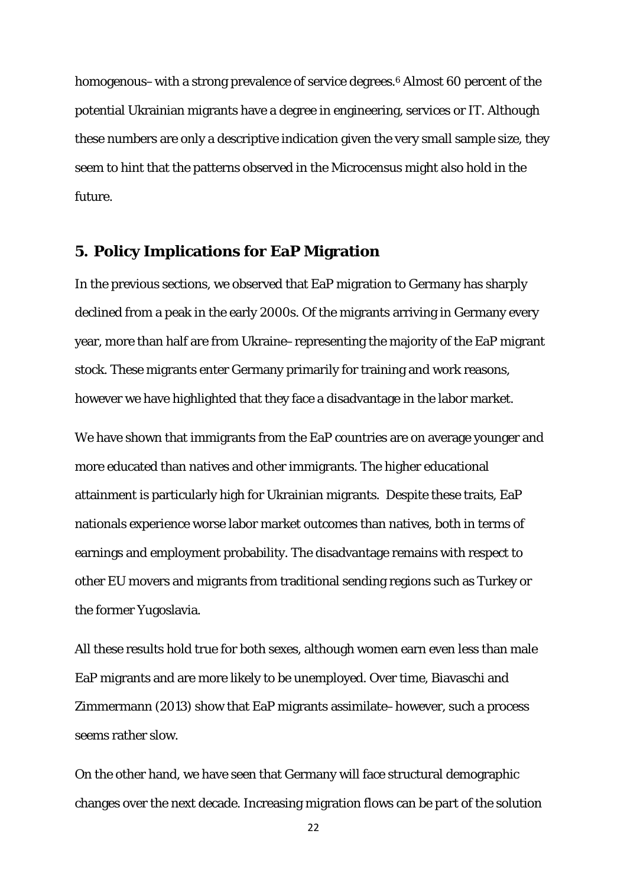homogenous–with a strong prevalence of service degrees.<sup>6</sup> Almost 60 percent of the potential Ukrainian migrants have a degree in engineering, services or IT. Although these numbers are only a descriptive indication given the very small sample size, they seem to hint that the patterns observed in the Microcensus might also hold in the future.

## **5. Policy Implications for EaP Migration**

In the previous sections, we observed that EaP migration to Germany has sharply declined from a peak in the early 2000s. Of the migrants arriving in Germany every year, more than half are from Ukraine–representing the majority of the EaP migrant stock. These migrants enter Germany primarily for training and work reasons, however we have highlighted that they face a disadvantage in the labor market.

We have shown that immigrants from the EaP countries are on average younger and more educated than natives and other immigrants. The higher educational attainment is particularly high for Ukrainian migrants. Despite these traits, EaP nationals experience worse labor market outcomes than natives, both in terms of earnings and employment probability. The disadvantage remains with respect to other EU movers and migrants from traditional sending regions such as Turkey or the former Yugoslavia.

All these results hold true for both sexes, although women earn even less than male EaP migrants and are more likely to be unemployed. Over time, Biavaschi and Zimmermann (2013) show that EaP migrants assimilate–however, such a process seems rather slow.

On the other hand, we have seen that Germany will face structural demographic changes over the next decade. Increasing migration flows can be part of the solution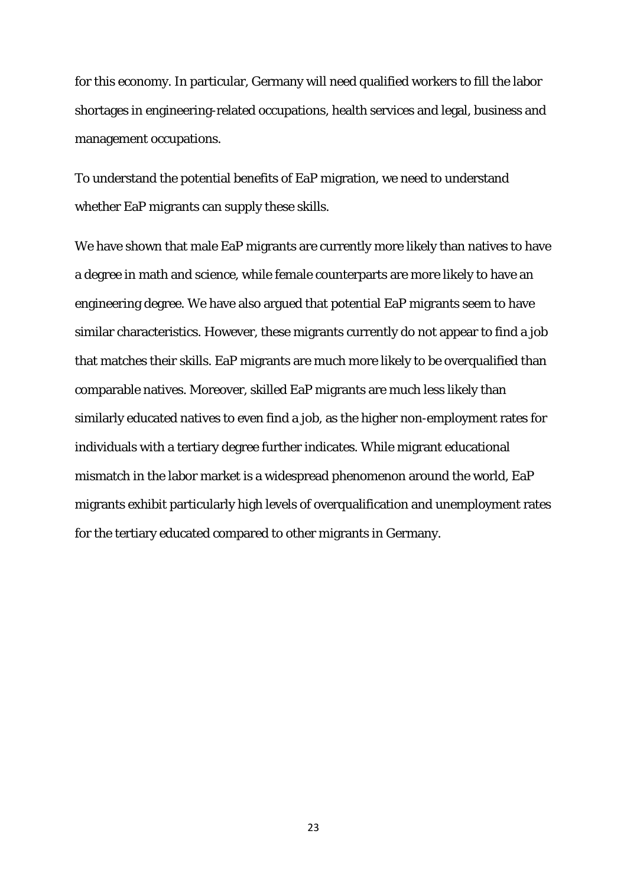for this economy. In particular, Germany will need qualified workers to fill the labor shortages in engineering-related occupations, health services and legal, business and management occupations.

To understand the potential benefits of EaP migration, we need to understand whether EaP migrants can supply these skills.

We have shown that male EaP migrants are currently more likely than natives to have a degree in math and science, while female counterparts are more likely to have an engineering degree. We have also argued that potential EaP migrants seem to have similar characteristics. However, these migrants currently do not appear to find a job that matches their skills. EaP migrants are much more likely to be overqualified than comparable natives. Moreover, skilled EaP migrants are much less likely than similarly educated natives to even find a job, as the higher non-employment rates for individuals with a tertiary degree further indicates. While migrant educational mismatch in the labor market is a widespread phenomenon around the world, EaP migrants exhibit particularly high levels of overqualification and unemployment rates for the tertiary educated compared to other migrants in Germany.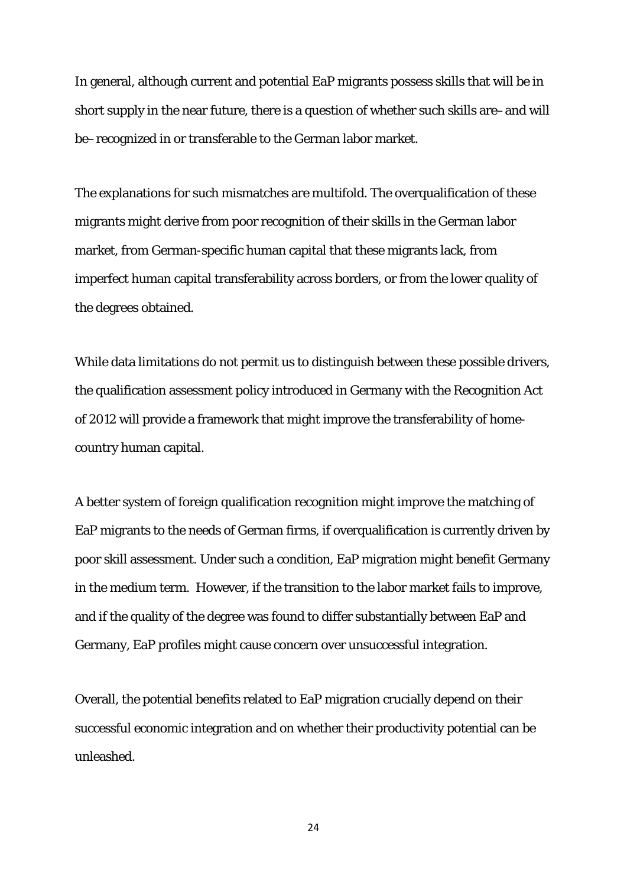In general, although current and potential EaP migrants possess skills that will be in short supply in the near future, there is a question of whether such skills are–and will be–recognized in or transferable to the German labor market.

The explanations for such mismatches are multifold. The overqualification of these migrants might derive from poor recognition of their skills in the German labor market, from German-specific human capital that these migrants lack, from imperfect human capital transferability across borders, or from the lower quality of the degrees obtained.

While data limitations do not permit us to distinguish between these possible drivers, the qualification assessment policy introduced in Germany with the Recognition Act of 2012 will provide a framework that might improve the transferability of homecountry human capital.

A better system of foreign qualification recognition might improve the matching of EaP migrants to the needs of German firms, if overqualification is currently driven by poor skill assessment. Under such a condition, EaP migration might benefit Germany in the medium term. However, if the transition to the labor market fails to improve, and if the quality of the degree was found to differ substantially between EaP and Germany, EaP profiles might cause concern over unsuccessful integration.

Overall, the potential benefits related to EaP migration crucially depend on their successful economic integration and on whether their productivity potential can be unleashed.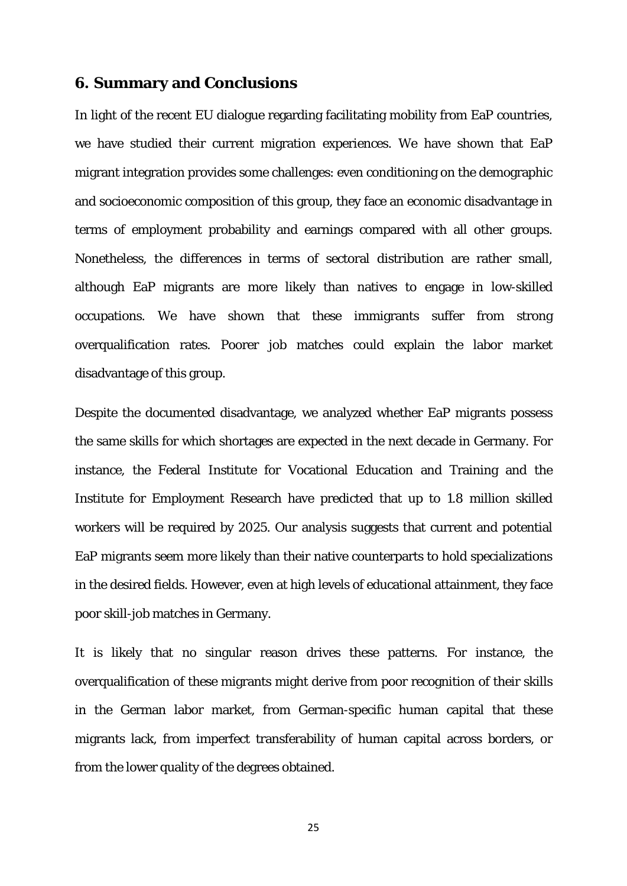## **6. Summary and Conclusions**

In light of the recent EU dialogue regarding facilitating mobility from EaP countries, we have studied their current migration experiences. We have shown that EaP migrant integration provides some challenges: even conditioning on the demographic and socioeconomic composition of this group, they face an economic disadvantage in terms of employment probability and earnings compared with all other groups. Nonetheless, the differences in terms of sectoral distribution are rather small, although EaP migrants are more likely than natives to engage in low-skilled occupations. We have shown that these immigrants suffer from strong overqualification rates. Poorer job matches could explain the labor market disadvantage of this group.

Despite the documented disadvantage, we analyzed whether EaP migrants possess the same skills for which shortages are expected in the next decade in Germany. For instance, the Federal Institute for Vocational Education and Training and the Institute for Employment Research have predicted that up to 1.8 million skilled workers will be required by 2025. Our analysis suggests that current and potential EaP migrants seem more likely than their native counterparts to hold specializations in the desired fields. However, even at high levels of educational attainment, they face poor skill-job matches in Germany.

It is likely that no singular reason drives these patterns. For instance, the overqualification of these migrants might derive from poor recognition of their skills in the German labor market, from German-specific human capital that these migrants lack, from imperfect transferability of human capital across borders, or from the lower quality of the degrees obtained.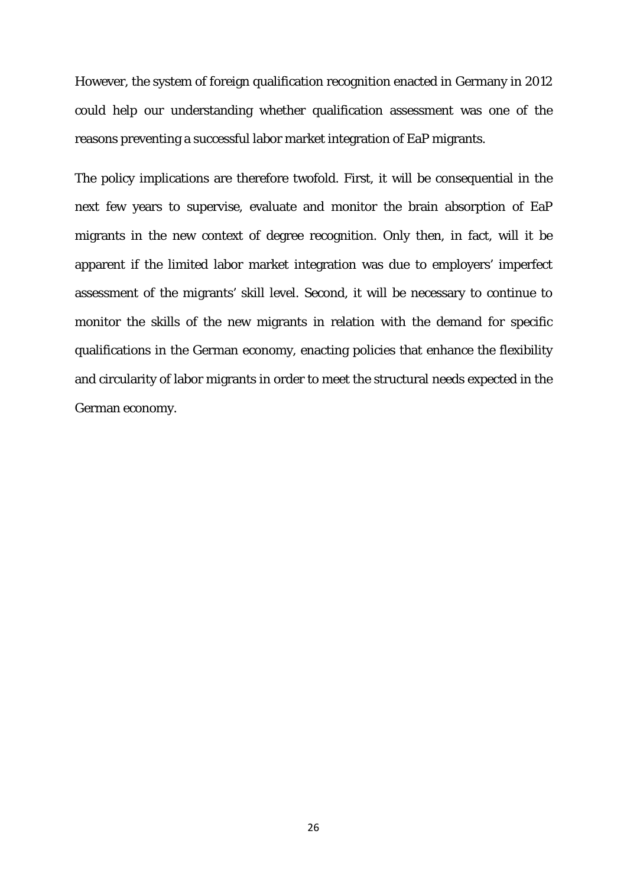However, the system of foreign qualification recognition enacted in Germany in 2012 could help our understanding whether qualification assessment was one of the reasons preventing a successful labor market integration of EaP migrants.

The policy implications are therefore twofold. First, it will be consequential in the next few years to supervise, evaluate and monitor the brain absorption of EaP migrants in the new context of degree recognition. Only then, in fact, will it be apparent if the limited labor market integration was due to employers' imperfect assessment of the migrants' skill level. Second, it will be necessary to continue to monitor the skills of the new migrants in relation with the demand for specific qualifications in the German economy, enacting policies that enhance the flexibility and circularity of labor migrants in order to meet the structural needs expected in the German economy.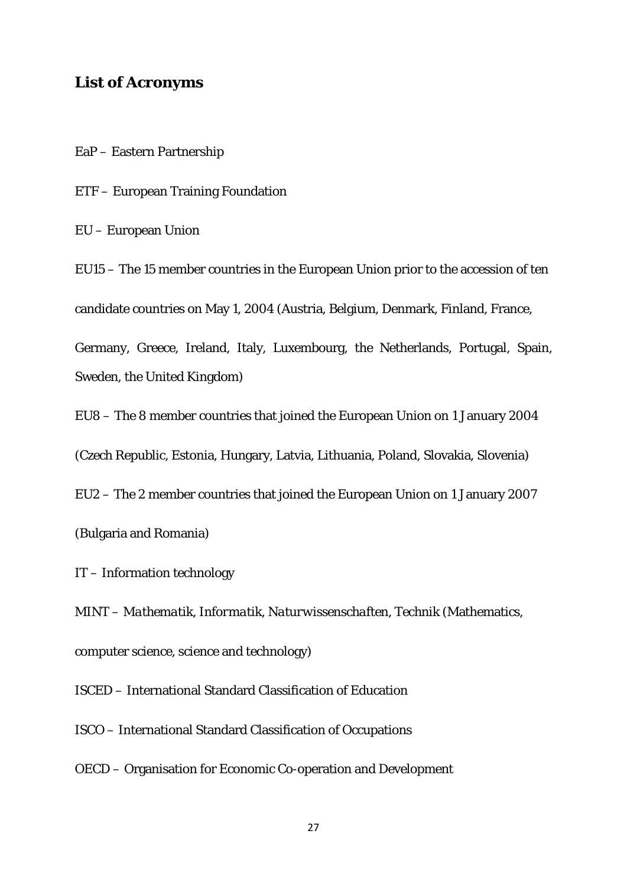## **List of Acronyms**

EaP – Eastern Partnership

ETF – European Training Foundation

EU – European Union

EU15 – The 15 member countries in the European Union prior to the accession of ten candidate countries on May 1, 2004 (Austria, Belgium, Denmark, Finland, France,

Germany, Greece, Ireland, Italy, Luxembourg, the Netherlands, Portugal, Spain, Sweden, the United Kingdom)

EU8 – The 8 member countries that joined the European Union on 1 January 2004

(Czech Republic, Estonia, Hungary, Latvia, Lithuania, Poland, Slovakia, Slovenia)

EU2 – The 2 member countries that joined the European Union on 1 January 2007

(Bulgaria and Romania)

IT – Information technology

MINT – *Mathematik, Informatik, Naturwissenschaften, Technik* (Mathematics, computer science, science and technology)

ISCED – International Standard Classification of Education

ISCO – International Standard Classification of Occupations

OECD – Organisation for Economic Co-operation and Development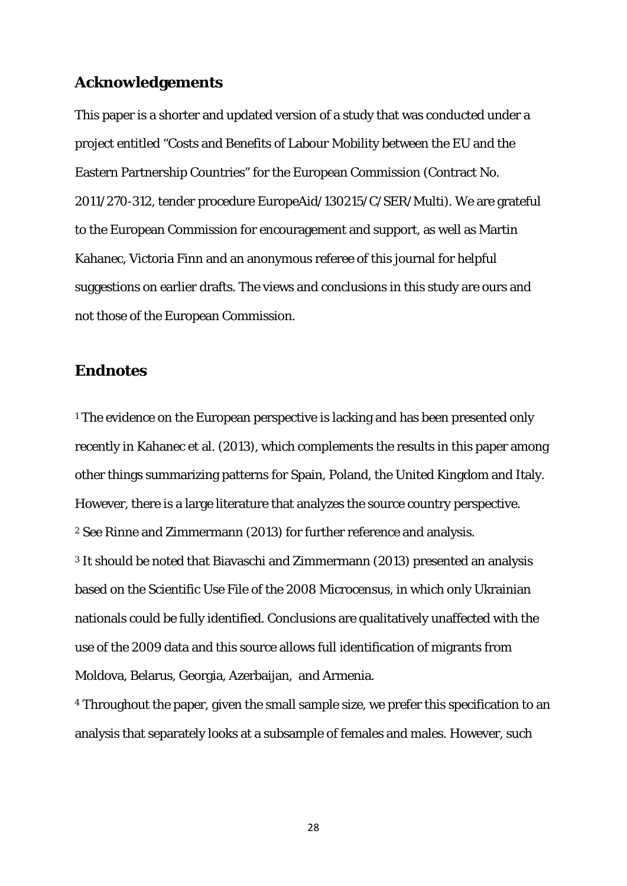## **Acknowledgements**

This paper is a shorter and updated version of a study that was conducted under a project entitled "Costs and Benefits of Labour Mobility between the EU and the Eastern Partnership Countries" for the European Commission (Contract No. 2011/270-312, tender procedure EuropeAid/130215/C/SER/Multi). We are grateful to the European Commission for encouragement and support, as well as Martin Kahanec, Victoria Finn and an anonymous referee of this journal for helpful suggestions on earlier drafts. The views and conclusions in this study are ours and not those of the European Commission.

### **Endnotes**

<span id="page-29-0"></span><sup>1</sup> The evidence on the European perspective is lacking and has been presented only recently in Kahanec et al. (2013), which complements the results in this paper among other things summarizing patterns for Spain, Poland, the United Kingdom and Italy. However, there is a large literature that analyzes the source country perspective. <sup>2</sup> See Rinne and Zimmermann (2013) for further reference and analysis. <sup>3</sup> It should be noted that Biavaschi and Zimmermann (2013) presented an analysis based on the Scientific Use File of the 2008 Microcensus, in which only Ukrainian nationals could be fully identified. Conclusions are qualitatively unaffected with the use of the 2009 data and this source allows full identification of migrants from Moldova, Belarus, Georgia, Azerbaijan, and Armenia.

<sup>4</sup> Throughout the paper, given the small sample size, we prefer this specification to an analysis that separately looks at a subsample of females and males. However, such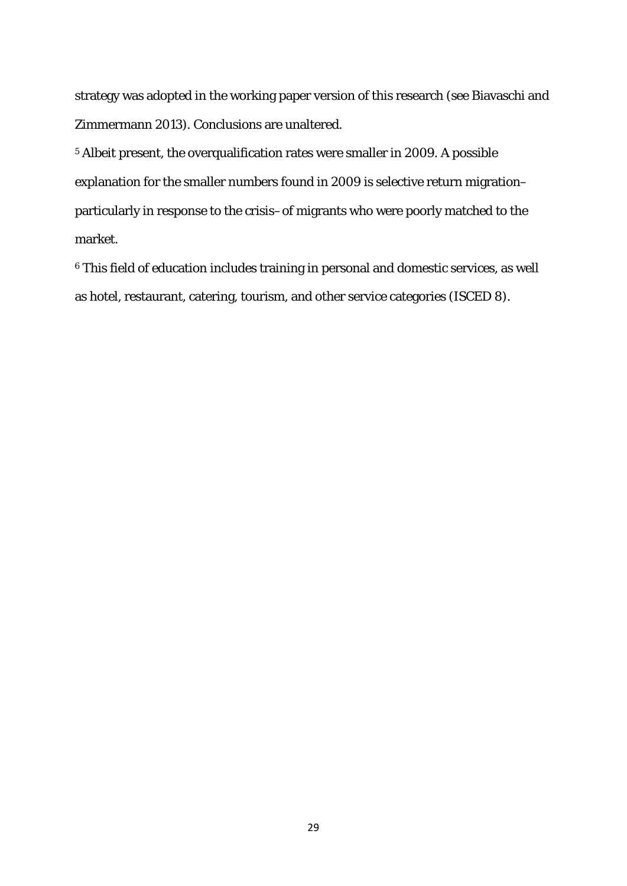strategy was adopted in the working paper version of this research (see Biavaschi and Zimmermann 2013). Conclusions are unaltered.

<sup>5</sup> Albeit present, the overqualification rates were smaller in 2009. A possible explanation for the smaller numbers found in 2009 is selective return migration– particularly in response to the crisis–of migrants who were poorly matched to the market.

<sup>6</sup> This field of education includes training in personal and domestic services, as well as hotel, restaurant, catering, tourism, and other service categories (ISCED 8).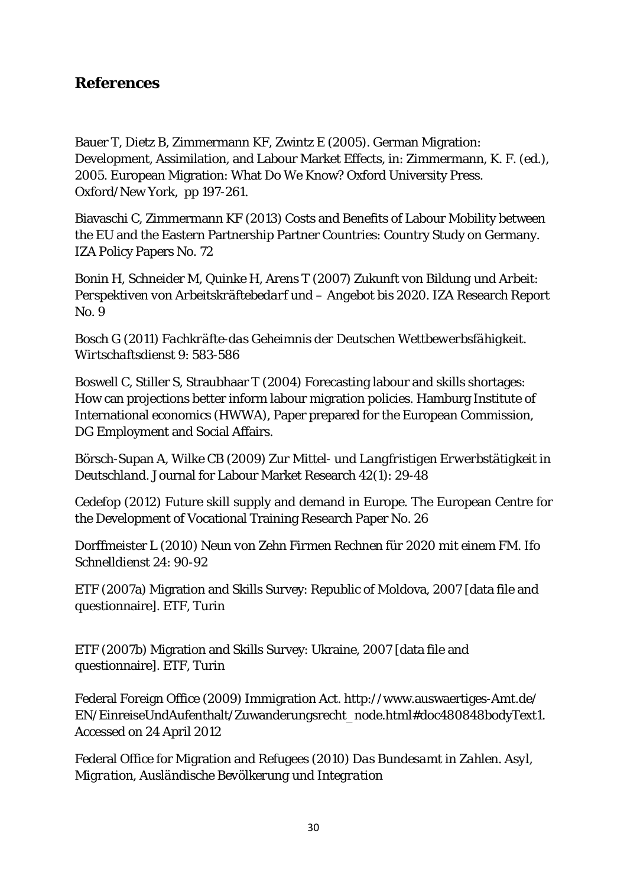## **References**

Bauer T, Dietz B, Zimmermann KF, Zwintz E (2005). German Migration: Development, Assimilation, and Labour Market Effects, in: Zimmermann, K. F. (ed.), 2005. European Migration: What Do We Know? Oxford University Press. Oxford/New York, pp 197-261.

Biavaschi C, Zimmermann KF (2013) Costs and Benefits of Labour Mobility between the EU and the Eastern Partnership Partner Countries: Country Study on Germany. IZA Policy Papers No. 72

Bonin H, Schneider M, Quinke H, Arens T (2007) *Zukunft von Bildung und Arbeit: Perspektiven von Arbeitskräftebedarf und – Angebot bis 2020*. IZA Research Report No. 9

Bosch G (2011) *Fachkräfte-das Geheimnis der Deutschen Wettbewerbsfähigkeit*. *Wirtschaftsdienst* 9: 583-586

Boswell C, Stiller S, Straubhaar T (2004) Forecasting labour and skills shortages: How can projections better inform labour migration policies. Hamburg Institute of International economics (HWWA), Paper prepared for the European Commission, DG Employment and Social Affairs.

Börsch-Supan A, Wilke CB (2009) *Zur Mittel- und Langfristigen Erwerbstätigkeit in Deutschland*. Journal for Labour Market Research 42(1): 29-48

Cedefop (2012) Future skill supply and demand in Europe. The European Centre for the Development of Vocational Training Research Paper No. 26

Dorffmeister L (2010) *Neun von Zehn Firmen Rechnen für 2020 mit einem FM*. *Ifo Schnelldienst* 24: 90-92

ETF (2007a) Migration and Skills Survey: Republic of Moldova, 2007 [data file and questionnaire]. ETF, Turin

ETF (2007b) Migration and Skills Survey: Ukraine, 2007 [data file and questionnaire]. ETF, Turin

Federal Foreign Office (2009) Immigration Act. [http://www.auswaertiges-Amt.de/](http://www.auswaertiges-amt.de/%20EN/EinreiseUndAufenthalt/Zuwanderungsrecht_node.html#doc480848bodyText1)  [EN/EinreiseUndAufenthalt/Zuwanderungsrecht\\_node.html#doc480848bodyText1.](http://www.auswaertiges-amt.de/%20EN/EinreiseUndAufenthalt/Zuwanderungsrecht_node.html#doc480848bodyText1) Accessed on 24 April 2012

Federal Office for Migration and Refugees (2010) *Das Bundesamt in Zahlen. Asyl, Migration, Ausländische Bevölkerung und Integration*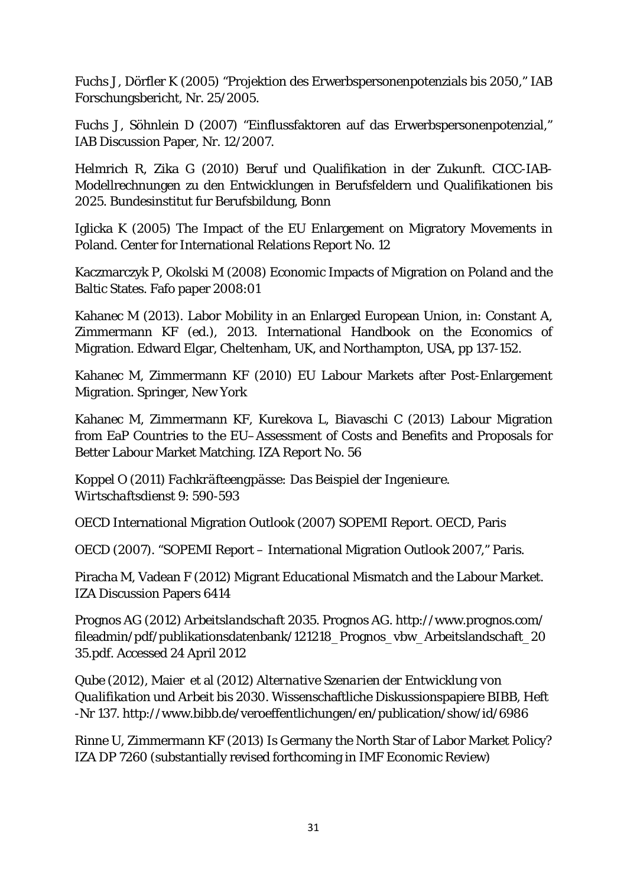Fuchs J, Dörfler K (2005) "Projektion des Erwerbspersonenpotenzials bis 2050," IAB Forschungsbericht, Nr. 25/2005.

Fuchs J, Söhnlein D (2007) "Einflussfaktoren auf das Erwerbspersonenpotenzial," IAB Discussion Paper, Nr. 12/2007.

Helmrich R, Zika G (2010) Beruf und Qualifikation in der Zukunft. CICC-IAB-Modellrechnungen zu den Entwicklungen in Berufsfeldern und Qualifikationen bis 2025. Bundesinstitut fur Berufsbildung, Bonn

Iglicka K (2005) The Impact of the EU Enlargement on Migratory Movements in Poland. Center for International Relations Report No. 12

Kaczmarczyk P, Okolski M (2008) Economic Impacts of Migration on Poland and the Baltic States. Fafo paper 2008:01

Kahanec M (2013). Labor Mobility in an Enlarged European Union, in: Constant A, Zimmermann KF (ed.), 2013. International Handbook on the Economics of Migration. Edward Elgar, Cheltenham, UK, and Northampton, USA, pp 137-152.

Kahanec M, Zimmermann KF (2010) EU Labour Markets after Post-Enlargement Migration. Springer, New York

Kahanec M, Zimmermann KF, Kurekova L, Biavaschi C (2013) Labour Migration from EaP Countries to the EU–Assessment of Costs and Benefits and Proposals for Better Labour Market Matching. IZA Report No. 56

Koppel O (2011) *Fachkräfteengpässe: Das Beispiel der Ingenieure*. *Wirtschaftsdienst* 9: 590-593

OECD International Migration Outlook (2007) SOPEMI Report. OECD, Paris

OECD (2007). "SOPEMI Report – International Migration Outlook 2007," Paris.

Piracha M, Vadean F (2012) [Migrant Educational Mismatch and the Labour Market.](http://ideas.repec.org/p/iza/izadps/dp6414.html) [IZA Discussion Papers](http://ideas.repec.org/s/iza/izadps.html) 6414

Prognos AG (2012) *Arbeitslandschaft 2035*. Prognos AG. [http://www.prognos.com/](http://www.prognos.com/%20fileadmin/pdf/publikationsdatenbank/121218_Prognos_vbw_Arbeitslandschaft_2035.pdf) [fileadmin/pdf/publikationsdatenbank/121218\\_Prognos\\_vbw\\_Arbeitslandschaft\\_20](http://www.prognos.com/%20fileadmin/pdf/publikationsdatenbank/121218_Prognos_vbw_Arbeitslandschaft_2035.pdf) [35.pdf.](http://www.prognos.com/%20fileadmin/pdf/publikationsdatenbank/121218_Prognos_vbw_Arbeitslandschaft_2035.pdf) Accessed 24 April 2012

Qube (2012), Maier et al (2012) *Alternative Szenarien der Entwicklung von Qualifikation und Arbeit bis 2030*. Wissenschaftliche Diskussionspapiere BIBB, Heft -Nr 137.<http://www.bibb.de/veroeffentlichungen/en/publication/show/id/6986>

Rinne U, Zimmermann KF (2013) Is Germany the North Star of Labor Market Policy? IZA DP 7260 (substantially revised forthcoming in IMF Economic Review)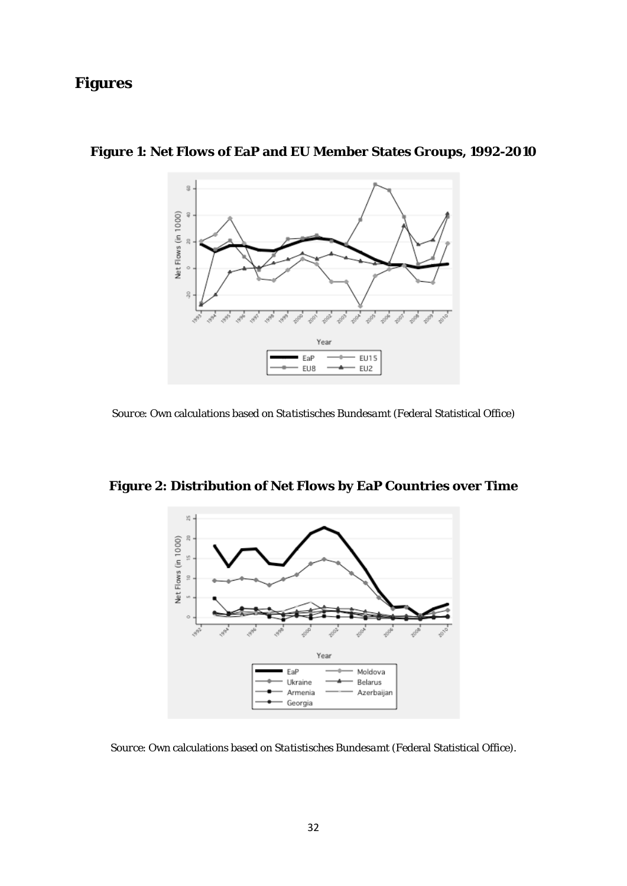## **Figures**



## **Figure 1: Net Flows of EaP and EU Member States Groups, 1992-2010**

*Source*: Own calculations based on *Statistisches Bundesamt* (Federal Statistical Office)



**Figure 2: Distribution of Net Flows by EaP Countries over Time**

*Source*: Own calculations based on *Statistisches Bundesamt* (Federal Statistical Office).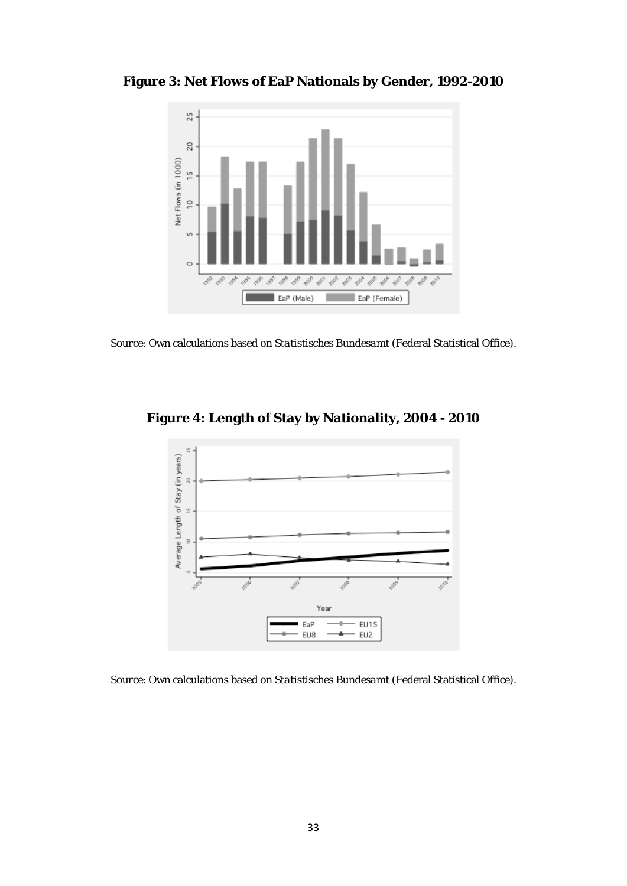**Figure 3: Net Flows of EaP Nationals by Gender, 1992-2010**



*Source*: Own calculations based on *Statistisches Bundesamt* (Federal Statistical Office).





*Source*: Own calculations based on *Statistisches Bundesamt* (Federal Statistical Office).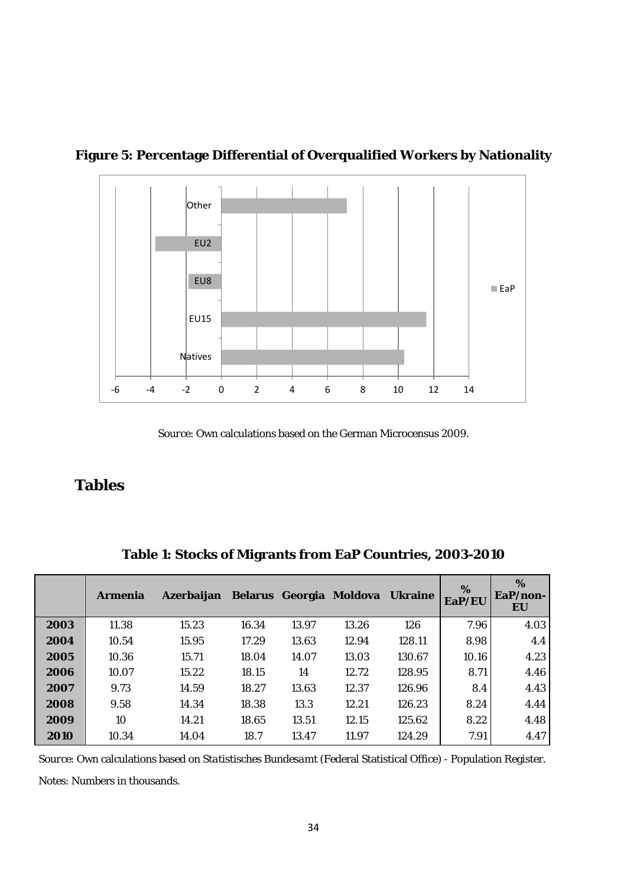

**Figure 5: Percentage Differential of Overqualified Workers by Nationality**

*Source*: Own calculations based on the German Microcensus 2009.

## **Tables**

|      | <b>Armenia</b> | Azerbaijan |       |       | Belarus Georgia Moldova | <b>Ukraine</b> | %<br>EaP/EU | %<br>$EaP/non-$<br>EU |
|------|----------------|------------|-------|-------|-------------------------|----------------|-------------|-----------------------|
| 2003 | 11.38          | 15.23      | 16.34 | 13.97 | 13.26                   | 126            | 7.96        | 4.03                  |
| 2004 | 10.54          | 15.95      | 17.29 | 13.63 | 12.94                   | 128.11         | 8.98        | 4.4                   |
| 2005 | 10.36          | 15.71      | 18.04 | 14.07 | 13.03                   | 130.67         | 10.16       | 4.23                  |
| 2006 | 10.07          | 15.22      | 18.15 | 14    | 12.72                   | 128.95         | 8.71        | 4.46                  |
| 2007 | 9.73           | 14.59      | 18.27 | 13.63 | 12.37                   | 126.96         | 8.4         | 4.43                  |
| 2008 | 9.58           | 14.34      | 18.38 | 13.3  | 12.21                   | 126.23         | 8.24        | 4.44                  |
| 2009 | 10             | 14.21      | 18.65 | 13.51 | 12.15                   | 125.62         | 8.22        | 4.48                  |
| 2010 | 10.34          | 14.04      | 18.7  | 13.47 | 11.97                   | 124.29         | 7.91        | 4.47                  |

**Table 1: Stocks of Migrants from EaP Countries, 2003-2010**

*Source*: Own calculations based on *Statistisches Bundesamt* (Federal Statistical Office) - Population Register.

*Notes*: Numbers in thousands.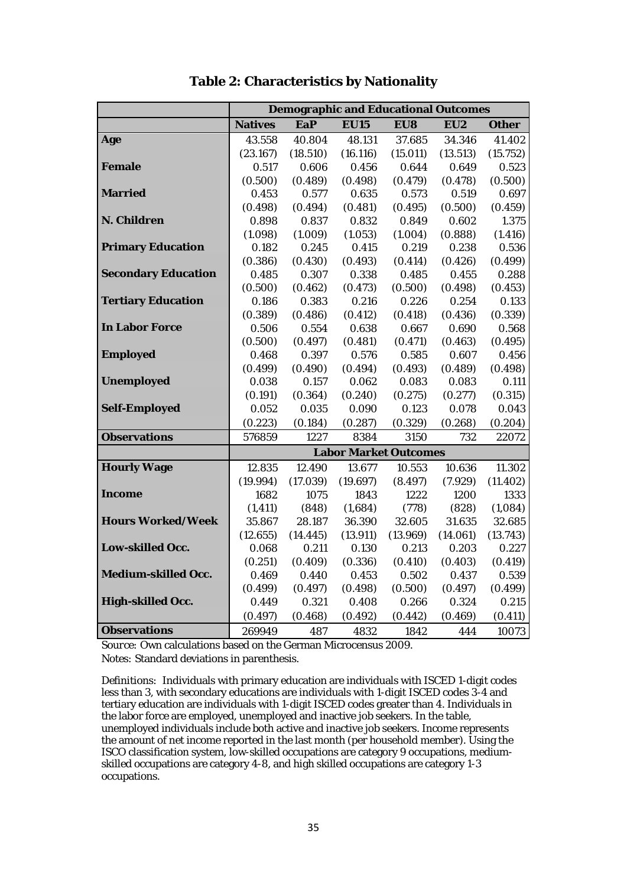|                            | <b>Demographic and Educational Outcomes</b> |          |             |                              |          |              |
|----------------------------|---------------------------------------------|----------|-------------|------------------------------|----------|--------------|
|                            | <b>Natives</b>                              | EaP      | <b>EU15</b> | EU8                          | EU2      | <b>Other</b> |
| Age                        | 43.558                                      | 40.804   | 48.131      | 37.685                       | 34.346   | 41.402       |
|                            | (23.167)                                    | (18.510) | (16.116)    | (15.011)                     | (13.513) | (15.752)     |
| <b>Female</b>              | 0.517                                       | 0.606    | 0.456       | 0.644                        | 0.649    | 0.523        |
|                            | (0.500)                                     | (0.489)  | (0.498)     | (0.479)                      | (0.478)  | (0.500)      |
| <b>Married</b>             | 0.453                                       | 0.577    | 0.635       | 0.573                        | 0.519    | 0.697        |
|                            | (0.498)                                     | (0.494)  | (0.481)     | (0.495)                      | (0.500)  | (0.459)      |
| N. Children                | 0.898                                       | 0.837    | 0.832       | 0.849                        | 0.602    | 1.375        |
|                            | (1.098)                                     | (1.009)  | (1.053)     | (1.004)                      | (0.888)  | (1.416)      |
| <b>Primary Education</b>   | 0.182                                       | 0.245    | 0.415       | 0.219                        | 0.238    | 0.536        |
|                            | (0.386)                                     | (0.430)  | (0.493)     | (0.414)                      | (0.426)  | (0.499)      |
| <b>Secondary Education</b> | 0.485                                       | 0.307    | 0.338       | 0.485                        | 0.455    | 0.288        |
|                            | (0.500)                                     | (0.462)  | (0.473)     | (0.500)                      | (0.498)  | (0.453)      |
| <b>Tertiary Education</b>  | 0.186                                       | 0.383    | 0.216       | 0.226                        | 0.254    | 0.133        |
|                            | (0.389)                                     | (0.486)  | (0.412)     | (0.418)                      | (0.436)  | (0.339)      |
| <b>In Labor Force</b>      | 0.506                                       | 0.554    | 0.638       | 0.667                        | 0.690    | 0.568        |
|                            | (0.500)                                     | (0.497)  | (0.481)     | (0.471)                      | (0.463)  | (0.495)      |
| <b>Employed</b>            | 0.468                                       | 0.397    | 0.576       | 0.585                        | 0.607    | 0.456        |
|                            | (0.499)                                     | (0.490)  | (0.494)     | (0.493)                      | (0.489)  | (0.498)      |
| <b>Unemployed</b>          | 0.038                                       | 0.157    | 0.062       | 0.083                        | 0.083    | 0.111        |
|                            | (0.191)                                     | (0.364)  | (0.240)     | (0.275)                      | (0.277)  | (0.315)      |
| <b>Self-Employed</b>       | 0.052                                       | 0.035    | 0.090       | 0.123                        | 0.078    | 0.043        |
|                            | (0.223)                                     | (0.184)  | (0.287)     | (0.329)                      | (0.268)  | (0.204)      |
| <b>Observations</b>        | 576859                                      | 1227     | 8384        | 3150                         | 732      | 22072        |
|                            |                                             |          |             | <b>Labor Market Outcomes</b> |          |              |
| <b>Hourly Wage</b>         | 12.835                                      | 12.490   | 13.677      | 10.553                       | 10.636   | 11.302       |
|                            | (19.994)                                    | (17.039) | (19.697)    | (8.497)                      | (7.929)  | (11.402)     |
| <b>Income</b>              | 1682                                        | 1075     | 1843        | 1222                         | 1200     | 1333         |
|                            | (1, 411)                                    | (848)    | (1,684)     | (778)                        | (828)    | (1,084)      |
| <b>Hours Worked/Week</b>   | 35.867                                      | 28.187   | 36.390      | 32.605                       | 31.635   | 32.685       |
|                            | (12.655)                                    | (14.445) | (13.911)    | (13.969)                     | (14.061) | (13.743)     |
| <b>Low-skilled Occ.</b>    | 0.068                                       | 0.211    | 0.130       | 0.213                        | 0.203    | 0.227        |
|                            | (0.251)                                     | (0.409)  | (0.336)     | (0.410)                      | (0.403)  | (0.419)      |
| <b>Medium-skilled Occ.</b> | 0.469                                       | 0.440    | 0.453       | 0.502                        | 0.437    | 0.539        |
|                            | (0.499)                                     | (0.497)  | (0.498)     | (0.500)                      | (0.497)  | (0.499)      |
| High-skilled Occ.          | 0.449                                       | 0.321    | 0.408       | 0.266                        | 0.324    | 0.215        |
|                            | (0.497)                                     | (0.468)  | (0.492)     | (0.442)                      | (0.469)  | (0.411)      |
| <b>Observations</b>        | 269949                                      | 487      | 4832        | 1842                         | 444      | 10073        |

**Table 2: Characteristics by Nationality**

*Source:* Own calculations based on the German Microcensus 2009. *Notes:* Standard deviations in parenthesis.

*Definitions:* Individuals with primary education are individuals with ISCED 1-digit codes less than 3, with secondary educations are individuals with 1-digit ISCED codes 3-4 and tertiary education are individuals with 1-digit ISCED codes greater than 4. Individuals in the labor force are employed, unemployed and inactive job seekers. In the table, unemployed individuals include both active and inactive job seekers. Income represents the amount of net income reported in the last month (per household member). Using the ISCO classification system, low-skilled occupations are category 9 occupations, mediumskilled occupations are category 4-8, and high skilled occupations are category 1-3 occupations.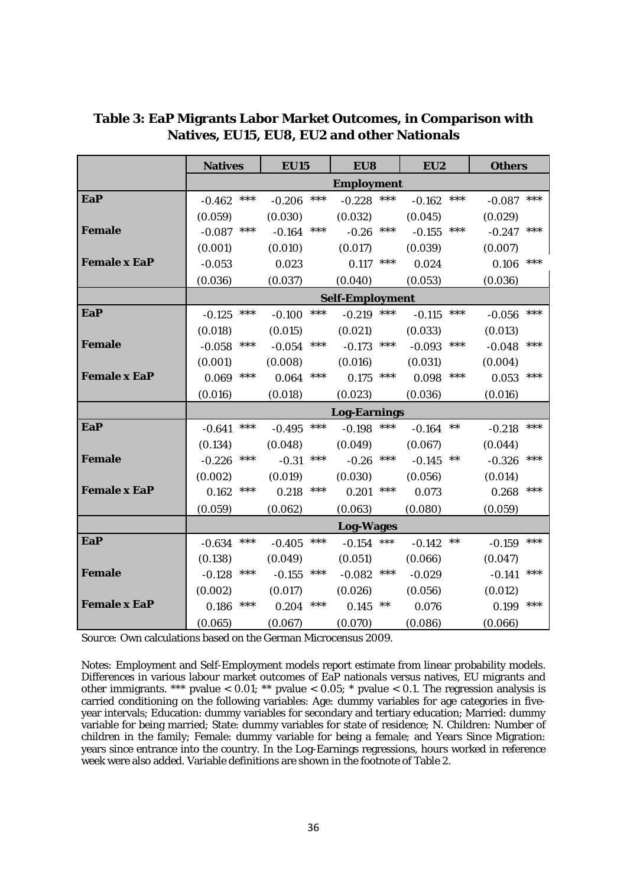|                     | <b>Natives</b>    | <b>EU15</b>       | EU8                    | EU <sub>2</sub>   | <b>Others</b>     |  |  |
|---------------------|-------------------|-------------------|------------------------|-------------------|-------------------|--|--|
|                     | <b>Employment</b> |                   |                        |                   |                   |  |  |
| <b>EaP</b>          | $***$<br>$-0.462$ | ***<br>$-0.206$   | $-0.228$<br>***        | ***<br>$-0.162$   | ***<br>$-0.087$   |  |  |
|                     | (0.059)           | (0.030)           | (0.032)                | (0.045)           | (0.029)           |  |  |
| <b>Female</b>       | ***<br>$-0.087$   | ***<br>$-0.164$   | $-0.26$ ***            | ***<br>$-0.155$   | ***<br>$-0.247$   |  |  |
|                     | (0.001)           | (0.010)           | (0.017)                | (0.039)           | (0.007)           |  |  |
| <b>Female x EaP</b> | $-0.053$          | 0.023             | ***<br>0.117           | 0.024             | ***<br>0.106      |  |  |
|                     | (0.036)           | (0.037)           | (0.040)                | (0.053)           | (0.036)           |  |  |
|                     |                   |                   | <b>Self-Employment</b> |                   |                   |  |  |
| <b>EaP</b>          | $***$<br>$-0.125$ | $***$<br>$-0.100$ | $***$<br>$-0.219$      | $***$<br>$-0.115$ | ***<br>$-0.056$   |  |  |
|                     | (0.018)           | (0.015)           | (0.021)                | (0.033)           | (0.013)           |  |  |
| <b>Female</b>       | $***$<br>$-0.058$ | ***<br>$-0.054$   | $-0.173$ ***           | ***<br>$-0.093$   | ***<br>$-0.048$   |  |  |
|                     | (0.001)           | (0.008)           | (0.016)                | (0.031)           | (0.004)           |  |  |
| <b>Female x EaP</b> | $***$<br>0.069    | ***<br>0.064      | $0.175$ ***            | ***<br>0.098      | ***<br>0.053      |  |  |
|                     | (0.016)           | (0.018)           | (0.023)                | (0.036)           | (0.016)           |  |  |
|                     |                   |                   | <b>Log-Earnings</b>    |                   |                   |  |  |
| <b>EaP</b>          | ***<br>$-0.641$   | $***$<br>$-0.495$ | $-0.198$ ***           | $***$<br>$-0.164$ | ***<br>$-0.218$   |  |  |
|                     | (0.134)           | (0.048)           | (0.049)                | (0.067)           | (0.044)           |  |  |
| <b>Female</b>       | $-0.226$ ***      | $***$<br>$-0.31$  | $-0.26$ ***            | $***$<br>$-0.145$ | ***<br>$-0.326$   |  |  |
|                     | (0.002)           | (0.019)           | (0.030)                | (0.056)           | (0.014)           |  |  |
| <b>Female x EaP</b> | ***<br>0.162      | ***<br>0.218      | $0.201$ ***            | 0.073             | ***<br>0.268      |  |  |
|                     | (0.059)           | (0.062)           | (0.063)                | (0.080)           | (0.059)           |  |  |
|                     | <b>Log-Wages</b>  |                   |                        |                   |                   |  |  |
| <b>EaP</b>          | ***<br>$-0.634$   | ***<br>$-0.405$   | $-0.154$ ***           | $-0.142$ **       | ***<br>$-0.159$   |  |  |
|                     | (0.138)           | (0.049)           | (0.051)                | (0.066)           | (0.047)           |  |  |
| <b>Female</b>       | $-0.128$ ***      | $***$<br>$-0.155$ | $-0.082$ ***           | $-0.029$          | $***$<br>$-0.141$ |  |  |
|                     | (0.002)           | (0.017)           | (0.026)                | (0.056)           | (0.012)           |  |  |
| <b>Female x EaP</b> | $***$<br>0.186    | $***$<br>0.204    | $0.145$ **             | 0.076             | ***<br>0.199      |  |  |
|                     | (0.065)           | (0.067)           | (0.070)                | (0.086)           | (0.066)           |  |  |

**Table 3: EaP Migrants Labor Market Outcomes, in Comparison with Natives, EU15, EU8, EU2 and other Nationals**

*Source:* Own calculations based on the German Microcensus 2009.

*Notes:* Employment and Self-Employment models report estimate from linear probability models. Differences in various labour market outcomes of EaP nationals versus natives, EU migrants and other immigrants. \*\*\* pvalue < 0.01; \*\* pvalue < 0.05; \* pvalue < 0.1. The regression analysis is carried conditioning on the following variables: Age: dummy variables for age categories in fiveyear intervals; Education: dummy variables for secondary and tertiary education; Married: dummy variable for being married; State: dummy variables for state of residence; N. Children: Number of children in the family; Female: dummy variable for being a female; and Years Since Migration: years since entrance into the country. In the Log-Earnings regressions, hours worked in reference week were also added. Variable definitions are shown in the footnote of Table 2.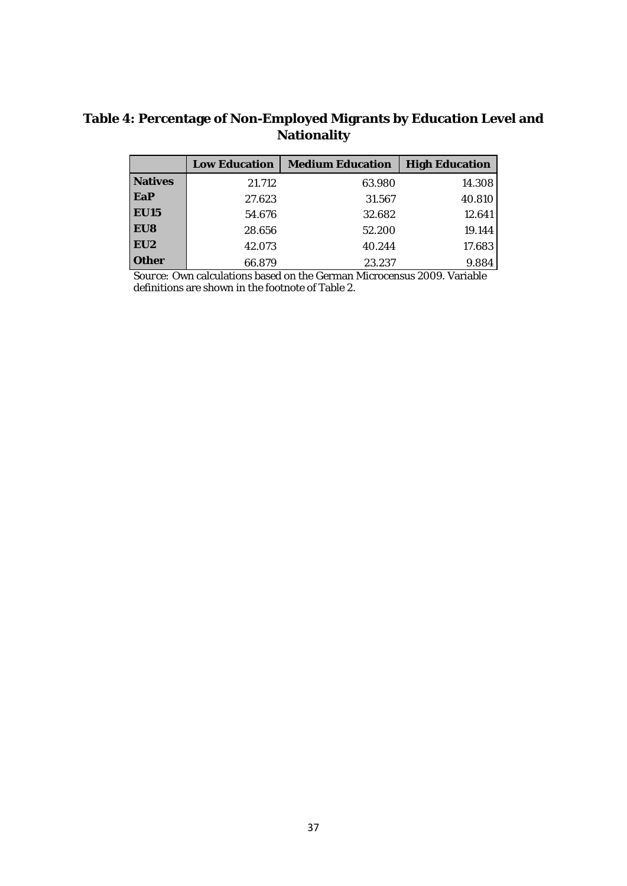## **Table 4: Percentage of Non-Employed Migrants by Education Level and Nationality**

|                 | <b>Low Education</b> | <b>Medium Education</b> | <b>High Education</b> |
|-----------------|----------------------|-------------------------|-----------------------|
| <b>Natives</b>  | 21.712               | 63.980                  | 14.308                |
| EaP             | 27.623               | 31.567                  | 40.810                |
| <b>EU15</b>     | 54.676               | 32.682                  | 12.641                |
| EU8             | 28.656               | 52.200                  | 19.144                |
| EU <sub>2</sub> | 42.073               | 40.244                  | 17.683                |
| <b>Other</b>    | 66.879               | 23.237                  | 9.884                 |

*Source:* Own calculations based on the German Microcensus 2009. Variable definitions are shown in the footnote of Table 2.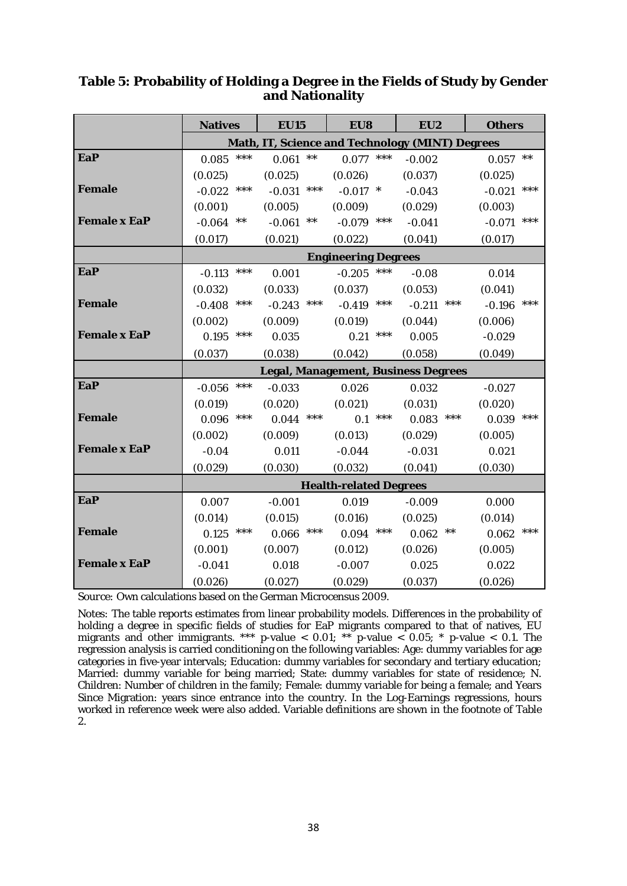|                     | <b>Natives</b>                                  | <b>EU15</b>       | EU8             | EU2                                        | <b>Others</b>     |  |
|---------------------|-------------------------------------------------|-------------------|-----------------|--------------------------------------------|-------------------|--|
|                     | Math, IT, Science and Technology (MINT) Degrees |                   |                 |                                            |                   |  |
| <b>EaP</b>          | ***<br>0.085                                    | $***$<br>0.061    | ***<br>0.077    | $-0.002$                                   | $***$<br>0.057    |  |
|                     | (0.025)                                         | (0.025)           | (0.026)         | (0.037)                                    | (0.025)           |  |
| <b>Female</b>       | $***$<br>$-0.022$                               | ***<br>$-0.031$   | $-0.017$ *      | $-0.043$                                   | $***$<br>$-0.021$ |  |
|                     | (0.001)                                         | (0.005)           | (0.009)         | (0.029)                                    | (0.003)           |  |
| <b>Female x EaP</b> | $***$<br>$-0.064$                               | $***$<br>$-0.061$ | ***<br>$-0.079$ | $-0.041$                                   | $***$<br>$-0.071$ |  |
|                     | (0.017)                                         | (0.021)           | (0.022)         | (0.041)                                    | (0.017)           |  |
|                     | <b>Engineering Degrees</b>                      |                   |                 |                                            |                   |  |
| <b>EaP</b>          | ***<br>$-0.113$                                 | 0.001             | ***<br>$-0.205$ | $-0.08$                                    | 0.014             |  |
|                     | (0.032)                                         | (0.033)           | (0.037)         | (0.053)                                    | (0.041)           |  |
| <b>Female</b>       | ***<br>$-0.408$                                 | ***<br>$-0.243$   | ***<br>$-0.419$ | ***<br>$-0.211$                            | ***<br>$-0.196$   |  |
|                     | (0.002)                                         | (0.009)           | (0.019)         | (0.044)                                    | (0.006)           |  |
| <b>Female x EaP</b> | $***$<br>0.195                                  | 0.035             | ***<br>0.21     | 0.005                                      | $-0.029$          |  |
|                     | (0.037)                                         | (0.038)           | (0.042)         | (0.058)                                    | (0.049)           |  |
|                     |                                                 |                   |                 | <b>Legal, Management, Business Degrees</b> |                   |  |
| <b>EaP</b>          | ***<br>$-0.056$                                 | $-0.033$          | 0.026           | 0.032                                      | $-0.027$          |  |
|                     | (0.019)                                         | (0.020)           | (0.021)         | (0.031)                                    | (0.020)           |  |
| <b>Female</b>       | $***$<br>0.096                                  | $***$<br>0.044    | ***<br>0.1      | ***<br>0.083                               | ***<br>0.039      |  |
|                     | (0.002)                                         | (0.009)           | (0.013)         | (0.029)                                    | (0.005)           |  |
| <b>Female x EaP</b> | $-0.04$                                         | 0.011             | $-0.044$        | $-0.031$                                   | 0.021             |  |
|                     | (0.029)                                         | (0.030)           | (0.032)         | (0.041)                                    | (0.030)           |  |
|                     | <b>Health-related Degrees</b>                   |                   |                 |                                            |                   |  |
| <b>EaP</b>          | 0.007                                           | $-0.001$          | 0.019           | $-0.009$                                   | 0.000             |  |
|                     | (0.014)                                         | (0.015)           | (0.016)         | (0.025)                                    | (0.014)           |  |
| <b>Female</b>       | ***<br>0.125                                    | ***<br>0.066      | ***<br>0.094    | $***$<br>0.062                             | ***<br>0.062      |  |
|                     | (0.001)                                         | (0.007)           | (0.012)         | (0.026)                                    | (0.005)           |  |
| <b>Female x EaP</b> | $-0.041$                                        | 0.018             | $-0.007$        | 0.025                                      | 0.022             |  |
|                     | (0.026)                                         | (0.027)           | (0.029)         | (0.037)                                    | (0.026)           |  |

## **Table 5: Probability of Holding a Degree in the Fields of Study by Gender and Nationality**

*Source:* Own calculations based on the German Microcensus 2009.

*Notes:* The table reports estimates from linear probability models. Differences in the probability of holding a degree in specific fields of studies for EaP migrants compared to that of natives, EU migrants and other immigrants. \*\*\* p-value < 0.01; \*\* p-value < 0.05; \* p-value < 0.1. The regression analysis is carried conditioning on the following variables: Age: dummy variables for age categories in five-year intervals; Education: dummy variables for secondary and tertiary education; Married: dummy variable for being married; State: dummy variables for state of residence; N. Children: Number of children in the family; Female: dummy variable for being a female; and Years Since Migration: years since entrance into the country. In the Log-Earnings regressions, hours worked in reference week were also added. Variable definitions are shown in the footnote of Table 2.